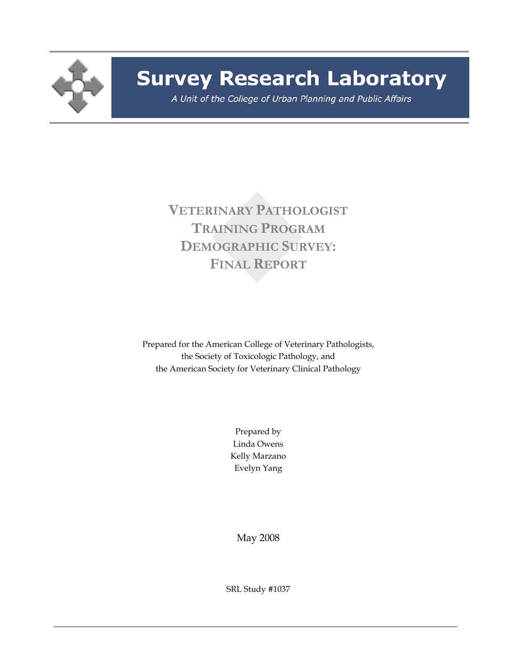

## **Survey Research Laboratory**

A Unit of the College of Urban Planning and Public Affairs

**VETERINARY PATHOLOGIST TRAINING PROGRAM DEMOGRAPHIC SURVEY: FINAL REPORT**

Prepared for the American College of Veterinary Pathologists, the Society of Toxicologic Pathology, and the American Society for Veterinary Clinical Pathology

> Prepared by Linda Owens Kelly Marzano Evelyn Yang

May 2008

SRL Study #1037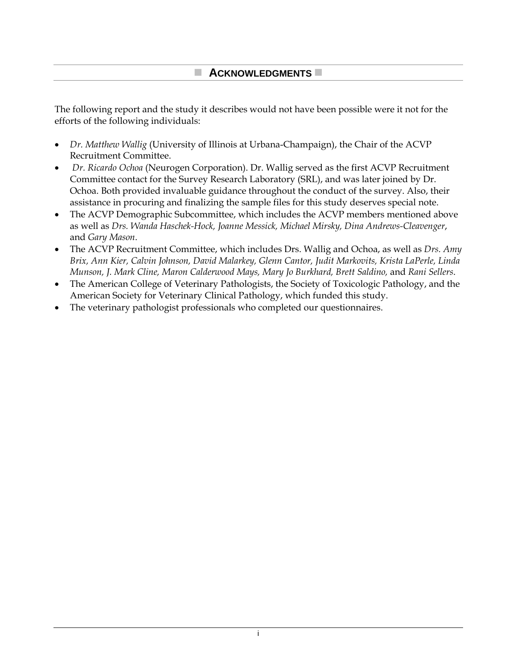## **ACKNOWLEDGMENTS**

The following report and the study it describes would not have been possible were it not for the efforts of the following individuals:

- *Dr. Matthew Wallig* (University of Illinois at Urbana-Champaign), the Chair of the ACVP Recruitment Committee.
- *Dr. Ricardo Ochoa* (Neurogen Corporation). Dr. Wallig served as the first ACVP Recruitment Committee contact for the Survey Research Laboratory (SRL), and was later joined by Dr. Ochoa. Both provided invaluable guidance throughout the conduct of the survey. Also, their assistance in procuring and finalizing the sample files for this study deserves special note.
- The ACVP Demographic Subcommittee, which includes the ACVP members mentioned above as well as *Drs. Wanda Haschek-Hock, Joanne Messick, Michael Mirsky, Dina Andrews-Cleavenger*, and *Gary Mason*.
- The ACVP Recruitment Committee, which includes Drs. Wallig and Ochoa, as well as *Drs. Amy Brix, Ann Kier, Calvin Johnson, David Malarkey, Glenn Cantor, Judit Markovits, Krista LaPerle, Linda Munson, J. Mark Cline, Maron Calderwood Mays, Mary Jo Burkhard, Brett Saldino,* and *Rani Sellers*.
- The American College of Veterinary Pathologists, the Society of Toxicologic Pathology, and the American Society for Veterinary Clinical Pathology, which funded this study.
- The veterinary pathologist professionals who completed our questionnaires.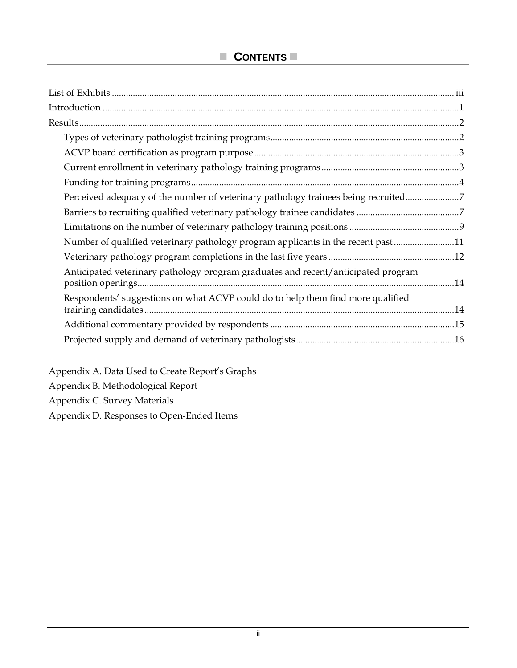| Perceived adequacy of the number of veterinary pathology trainees being recruited7 |  |
|------------------------------------------------------------------------------------|--|
|                                                                                    |  |
|                                                                                    |  |
| Number of qualified veterinary pathology program applicants in the recent past11   |  |
|                                                                                    |  |
| Anticipated veterinary pathology program graduates and recent/anticipated program  |  |
| Respondents' suggestions on what ACVP could do to help them find more qualified    |  |
|                                                                                    |  |
|                                                                                    |  |

Appendix A. Data Used to Create Report's Graphs Appendix B. Methodological Report Appendix C. Survey Materials Appendix D. Responses to Open-Ended Items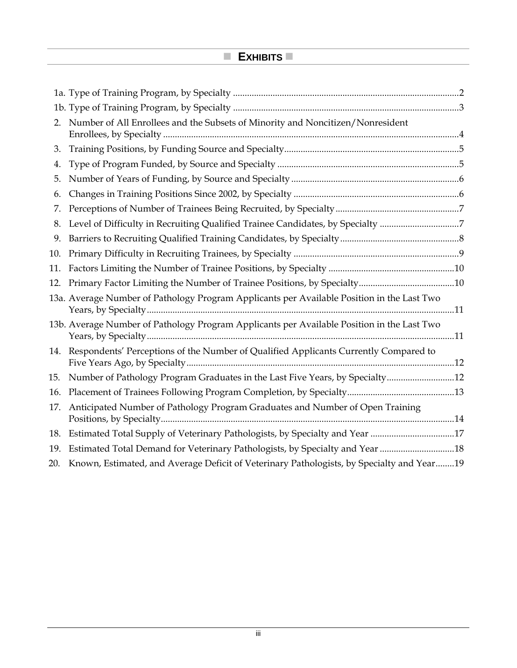## **EXHIBITS**

| 2.  | Number of All Enrollees and the Subsets of Minority and Noncitizen/Nonresident                |  |
|-----|-----------------------------------------------------------------------------------------------|--|
| 3.  |                                                                                               |  |
| 4.  |                                                                                               |  |
| 5.  |                                                                                               |  |
| 6.  |                                                                                               |  |
| 7.  |                                                                                               |  |
| 8.  | Level of Difficulty in Recruiting Qualified Trainee Candidates, by Specialty 7                |  |
| 9.  |                                                                                               |  |
| 10. |                                                                                               |  |
| 11. |                                                                                               |  |
| 12. |                                                                                               |  |
|     | 13a. Average Number of Pathology Program Applicants per Available Position in the Last Two    |  |
|     | 13b. Average Number of Pathology Program Applicants per Available Position in the Last Two    |  |
|     | 14. Respondents' Perceptions of the Number of Qualified Applicants Currently Compared to      |  |
|     | 15. Number of Pathology Program Graduates in the Last Five Years, by Specialty12              |  |
|     |                                                                                               |  |
| 17. | Anticipated Number of Pathology Program Graduates and Number of Open Training                 |  |
|     | 18. Estimated Total Supply of Veterinary Pathologists, by Specialty and Year 17               |  |
|     | 19. Estimated Total Demand for Veterinary Pathologists, by Specialty and Year 18              |  |
|     | 20. Known, Estimated, and Average Deficit of Veterinary Pathologists, by Specialty and Year19 |  |
|     |                                                                                               |  |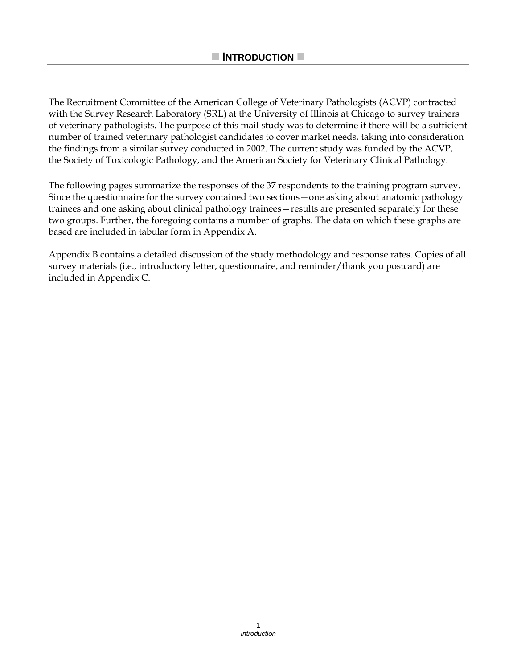The Recruitment Committee of the American College of Veterinary Pathologists (ACVP) contracted with the Survey Research Laboratory (SRL) at the University of Illinois at Chicago to survey trainers of veterinary pathologists. The purpose of this mail study was to determine if there will be a sufficient number of trained veterinary pathologist candidates to cover market needs, taking into consideration the findings from a similar survey conducted in 2002. The current study was funded by the ACVP, the Society of Toxicologic Pathology, and the American Society for Veterinary Clinical Pathology.

The following pages summarize the responses of the 37 respondents to the training program survey. Since the questionnaire for the survey contained two sections—one asking about anatomic pathology trainees and one asking about clinical pathology trainees—results are presented separately for these two groups. Further, the foregoing contains a number of graphs. The data on which these graphs are based are included in tabular form in Appendix A.

Appendix B contains a detailed discussion of the study methodology and response rates. Copies of all survey materials (i.e., introductory letter, questionnaire, and reminder/thank you postcard) are included in Appendix C.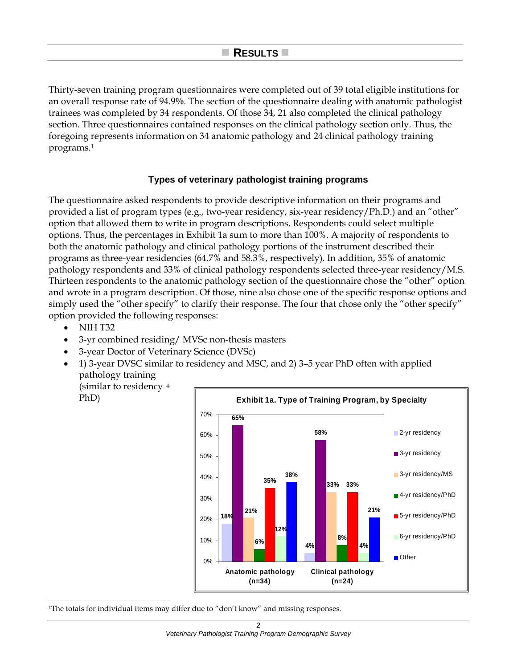Thirty-seven training program questionnaires were completed out of 39 total eligible institutions for an overall response rate of 94.9**%**. The section of the questionnaire dealing with anatomic pathologist trainees was completed by 34 respondents. Of those 34, 21 also completed the clinical pathology section. Three questionnaires contained responses on the clinical pathology section only. Thus, the foregoing represents information on 34 anatomic pathology and 24 clinical pathology training programs.1

#### **Types of veterinary pathologist training programs**

The questionnaire asked respondents to provide descriptive information on their programs and provided a list of program types (e.g., two-year residency, six-year residency/Ph.D.) and an "other" option that allowed them to write in program descriptions. Respondents could select multiple options. Thus, the percentages in Exhibit 1a sum to more than 100%. A majority of respondents to both the anatomic pathology and clinical pathology portions of the instrument described their programs as three-year residencies (64.7% and 58.3%, respectively)*.* In addition, 35% of anatomic pathology respondents and 33% of clinical pathology respondents selected three-year residency/M.S. Thirteen respondents to the anatomic pathology section of the questionnaire chose the "other" option and wrote in a program description. Of those, nine also chose one of the specific response options and simply used the "other specify" to clarify their response. The four that chose only the "other specify" option provided the following responses:

- NIH T32
- 3-yr combined residing/ MVSc non-thesis masters
- 3-year Doctor of Veterinary Science (DVSc)
- 1) 3-year DVSC similar to residency and MSC, and 2) 3–5 year PhD often with applied pathology training (similar to residency +

PhD)

l



<sup>1</sup>The totals for individual items may differ due to "don't know" and missing responses.

2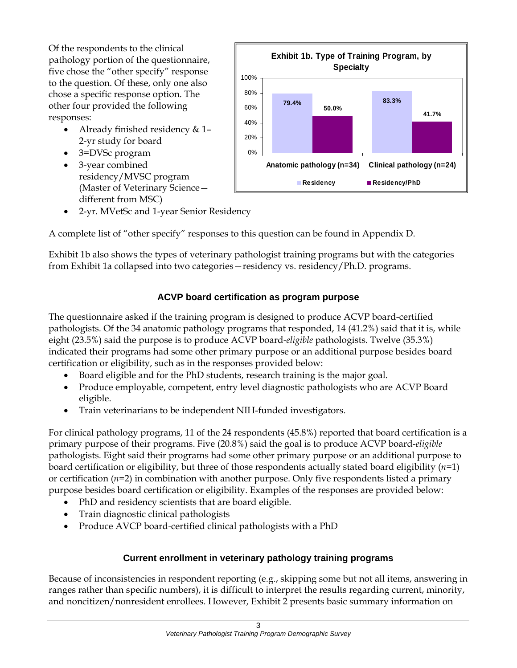Of the respondents to the clinical pathology portion of the questionnaire, five chose the "other specify" response to the question. Of these, only one also chose a specific response option. The other four provided the following responses:

- Already finished residency & 1-2-yr study for board
- 3=DVSc program
- 3-year combined residency/MVSC program (Master of Veterinary Science different from MSC)



• 2-yr. MVetSc and 1-year Senior Residency

A complete list of "other specify" responses to this question can be found in Appendix D.

Exhibit 1b also shows the types of veterinary pathologist training programs but with the categories from Exhibit 1a collapsed into two categories—residency vs. residency/Ph.D. programs.

## **ACVP board certification as program purpose**

The questionnaire asked if the training program is designed to produce ACVP board-certified pathologists. Of the 34 anatomic pathology programs that responded, 14 (41.2%) said that it is, while eight (23.5%) said the purpose is to produce ACVP board-*eligible* pathologists. Twelve (35.3%) indicated their programs had some other primary purpose or an additional purpose besides board certification or eligibility, such as in the responses provided below:

- Board eligible and for the PhD students, research training is the major goal.
- Produce employable, competent, entry level diagnostic pathologists who are ACVP Board eligible.
- Train veterinarians to be independent NIH-funded investigators.

For clinical pathology programs, 11 of the 24 respondents (45.8%) reported that board certification is a primary purpose of their programs. Five (20.8%) said the goal is to produce ACVP board-*eligible* pathologists. Eight said their programs had some other primary purpose or an additional purpose to board certification or eligibility, but three of those respondents actually stated board eligibility (*n*=1) or certification (*n*=2) in combination with another purpose. Only five respondents listed a primary purpose besides board certification or eligibility. Examples of the responses are provided below:

- PhD and residency scientists that are board eligible.
- Train diagnostic clinical pathologists
- Produce AVCP board-certified clinical pathologists with a PhD

## **Current enrollment in veterinary pathology training programs**

Because of inconsistencies in respondent reporting (e.g., skipping some but not all items, answering in ranges rather than specific numbers), it is difficult to interpret the results regarding current, minority, and noncitizen/nonresident enrollees. However, Exhibit 2 presents basic summary information on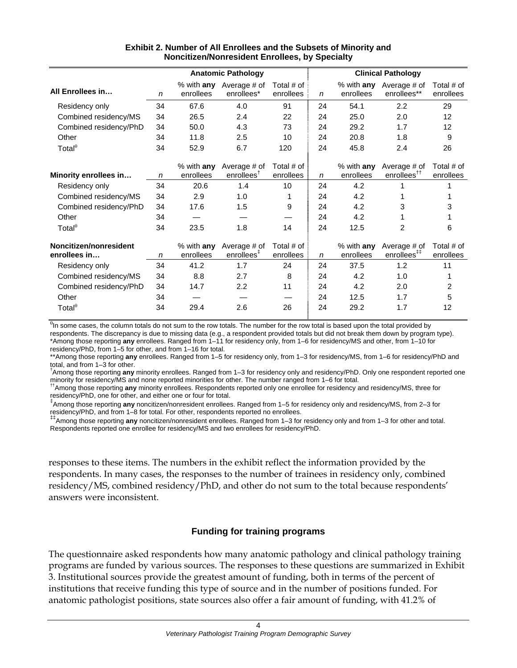|                                        |              |                           | <b>Anatomic Pathology</b>              |                           |    |                           | <b>Clinical Pathology</b>                          |                         |  |
|----------------------------------------|--------------|---------------------------|----------------------------------------|---------------------------|----|---------------------------|----------------------------------------------------|-------------------------|--|
| All Enrollees in                       | n            | $%$ with any<br>enrollees | Average # of<br>enrollees*             | Total # of<br>enrollees   | n  | % with any<br>enrollees   | Average # of<br>enrollees**                        | Total # of<br>enrollees |  |
| Residency only                         | 34           | 67.6                      | 4.0                                    | 91                        | 24 | 54.1                      | 2.2                                                | 29                      |  |
| Combined residency/MS                  | 34           | 26.5                      | 2.4                                    | 22                        | 24 | 25.0                      | 2.0                                                | 12                      |  |
| Combined residency/PhD                 | 34           | 50.0                      | 4.3                                    | 73                        | 24 | 29.2                      | 1.7                                                | 12                      |  |
| Other                                  | 34           | 11.8                      | 2.5                                    | 10                        | 24 | 20.8                      | 1.8                                                | 9                       |  |
| Total $^{\theta}$                      | 34           | 52.9                      | 6.7                                    | 120                       | 24 | 45.8                      | 2.4                                                | 26                      |  |
| Minority enrollees in                  | n            | $%$ with any<br>enrollees | Average # of<br>enrollees <sup>†</sup> | Total $#$ of<br>enrollees | n  | $%$ with any<br>enrollees | Average # of<br>enrollees <sup>††</sup>            | Total # of<br>enrollees |  |
| Residency only                         | 34           | 20.6                      | 1.4                                    | 10                        | 24 | 4.2                       |                                                    |                         |  |
| Combined residency/MS                  | 34           | 2.9                       | 1.0                                    | 1                         | 24 | 4.2                       |                                                    |                         |  |
| Combined residency/PhD                 | 34           | 17.6                      | 1.5                                    | 9                         | 24 | 4.2                       | 3                                                  | 3                       |  |
| Other                                  | 34           |                           |                                        |                           | 24 | 4.2                       |                                                    |                         |  |
| Total $^{\theta}$                      | 34           | 23.5                      | 1.8                                    | 14                        | 24 | 12.5                      | $\overline{2}$                                     | 6                       |  |
| Noncitizen/nonresident<br>enrollees in | $\mathsf{n}$ | % with any<br>enrollees   | Average # of<br>enrollees <sup>‡</sup> | Total $#$ of<br>enrollees | n  | % with any<br>enrollees   | Average # of<br>enrollees <sup>†<sup>†</sup></sup> | Total # of<br>enrollees |  |
| Residency only                         | 34           | 41.2                      | 1.7                                    | 24                        | 24 | 37.5                      | 1.2                                                | 11                      |  |
| Combined residency/MS                  | 34           | 8.8                       | 2.7                                    | 8                         | 24 | 4.2                       | 1.0                                                |                         |  |
| Combined residency/PhD                 | 34           | 14.7                      | 2.2                                    | 11                        | 24 | 4.2                       | 2.0                                                | $\overline{c}$          |  |
| Other                                  | 34           |                           |                                        |                           | 24 | 12.5                      | 1.7                                                | 5                       |  |
| Total $^{\theta}$                      | 34           | 29.4                      | 2.6                                    | 26                        | 24 | 29.2                      | 1.7                                                | 12                      |  |

#### **Exhibit 2. Number of All Enrollees and the Subsets of Minority and Noncitizen/Nonresident Enrollees, by Specialty**

<sup>θ</sup>In some cases, the column totals do not sum to the row totals. The number for the row total is based upon the total provided by respondents. The discrepancy is due to missing data (e.g., a respondent provided totals but did not break them down by program type). \*Among those reporting **any** enrollees. Ranged from 1–11 for residency only, from 1–6 for residency/MS and other, from 1–10 for

residency/PhD, from 1–5 for other, and from 1–16 for total.

\*\*Among those reporting **any** enrollees. Ranged from 1–5 for residency only, from 1–3 for residency/MS, from 1–6 for residency/PhD and total, and from 1–3 for other.

† Among those reporting **any** minority enrollees. Ranged from 1–3 for residency only and residency/PhD. Only one respondent reported one minority for residency/MS and none reported minorities for other. The number ranged from 1–6 for total.<br><sup>††</sup>Among those reporting **any** minority enrollees. Respondents reported only one enrollee for residency and residency

residency/PhD, one for other, and either one or four for total.

‡ Among those reporting **any** noncitizen/nonresident enrollees. Ranged from 1–5 for residency only and residency/MS, from 2–3 for residency/PhD, and from 1–8 for total. For other, respondents reported no enrollees.

‡‡Among those reporting **any** noncitizen/nonresident enrollees. Ranged from 1–3 for residency only and from 1–3 for other and total. Respondents reported one enrollee for residency/MS and two enrollees for residency/PhD.

responses to these items. The numbers in the exhibit reflect the information provided by the respondents. In many cases, the responses to the number of trainees in residency only, combined residency/MS, combined residency/PhD, and other do not sum to the total because respondents' answers were inconsistent.

## **Funding for training programs**

The questionnaire asked respondents how many anatomic pathology and clinical pathology training programs are funded by various sources. The responses to these questions are summarized in Exhibit 3. Institutional sources provide the greatest amount of funding, both in terms of the percent of institutions that receive funding this type of source and in the number of positions funded. For anatomic pathologist positions, state sources also offer a fair amount of funding, with 41.2% of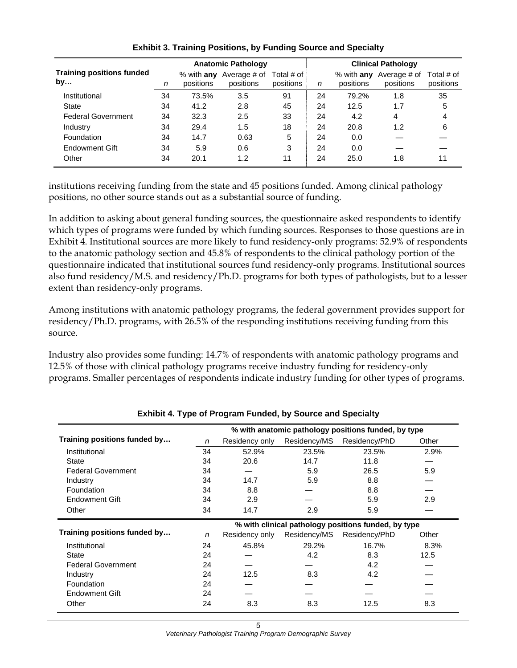|                                        |    |                           | <b>Anatomic Pathology</b> |                         | <b>Clinical Pathology</b> |           |                                      |                         |
|----------------------------------------|----|---------------------------|---------------------------|-------------------------|---------------------------|-----------|--------------------------------------|-------------------------|
| <b>Training positions funded</b><br>by | n  | $%$ with any<br>positions | Average # of<br>positions | Total # of<br>positions | n                         | positions | % with any Average # of<br>positions | Total # of<br>positions |
| Institutional                          | 34 | 73.5%                     | 3.5                       | 91                      | 24                        | 79.2%     | 1.8                                  | 35                      |
| <b>State</b>                           | 34 | 41.2                      | 2.8                       | 45                      | 24                        | 12.5      | 1.7                                  | 5                       |
| <b>Federal Government</b>              | 34 | 32.3                      | 2.5                       | 33                      | 24                        | 4.2       | 4                                    | 4                       |
| Industry                               | 34 | 29.4                      | 1.5                       | 18                      | 24                        | 20.8      | 1.2                                  | 6                       |
| Foundation                             | 34 | 14.7                      | 0.63                      | 5                       | 24                        | 0.0       |                                      |                         |
| <b>Endowment Gift</b>                  | 34 | 5.9                       | 0.6                       | 3                       | 24                        | 0.0       |                                      |                         |
| Other                                  | 34 | 20.1                      | 1.2                       | 11                      | 24                        | 25.0      | 1.8                                  | 11                      |

#### **Exhibit 3. Training Positions, by Funding Source and Specialty**

institutions receiving funding from the state and 45 positions funded. Among clinical pathology positions, no other source stands out as a substantial source of funding.

In addition to asking about general funding sources, the questionnaire asked respondents to identify which types of programs were funded by which funding sources. Responses to those questions are in Exhibit 4. Institutional sources are more likely to fund residency-only programs: 52.9% of respondents to the anatomic pathology section and 45.8% of respondents to the clinical pathology portion of the questionnaire indicated that institutional sources fund residency-only programs. Institutional sources also fund residency/M.S. and residency/Ph.D. programs for both types of pathologists, but to a lesser extent than residency-only programs.

Among institutions with anatomic pathology programs, the federal government provides support for residency/Ph.D. programs, with 26.5% of the responding institutions receiving funding from this source.

Industry also provides some funding: 14.7% of respondents with anatomic pathology programs and 12.5% of those with clinical pathology programs receive industry funding for residency-only programs. Smaller percentages of respondents indicate industry funding for other types of programs.

|                              |    |                |              | % with anatomic pathology positions funded, by type |       |
|------------------------------|----|----------------|--------------|-----------------------------------------------------|-------|
| Training positions funded by | n  | Residency only | Residency/MS | Residency/PhD                                       | Other |
| Institutional                | 34 | 52.9%          | 23.5%        | 23.5%                                               | 2.9%  |
| State                        | 34 | 20.6           | 14.7         | 11.8                                                |       |
| <b>Federal Government</b>    | 34 |                | 5.9          | 26.5                                                | 5.9   |
| Industry                     | 34 | 14.7           | 5.9          | 8.8                                                 |       |
| Foundation                   | 34 | 8.8            |              | 8.8                                                 |       |
| Endowment Gift               | 34 | 2.9            |              | 5.9                                                 | 2.9   |
| Other                        | 34 | 14.7           | 2.9          | 5.9                                                 |       |
|                              |    |                |              | % with clinical pathology positions funded, by type |       |
| Training positions funded by | n  | Residency only | Residency/MS | Residency/PhD                                       | Other |
| Institutional                | 24 | 45.8%          | 29.2%        | 16.7%                                               | 8.3%  |
| State                        | 24 |                | 4.2          | 8.3                                                 | 12.5  |
| <b>Federal Government</b>    | 24 |                |              | 4.2                                                 |       |
| Industry                     | 24 | 12.5           | 8.3          | 4.2                                                 |       |
| Foundation                   | 24 |                |              |                                                     |       |
| <b>Endowment Gift</b>        | 24 |                |              |                                                     |       |
| Other                        | 24 | 8.3            | 8.3          | 12.5                                                | 8.3   |

#### **Exhibit 4. Type of Program Funded, by Source and Specialty**

*Veterinary Pathologist Training Program Demographic Survey*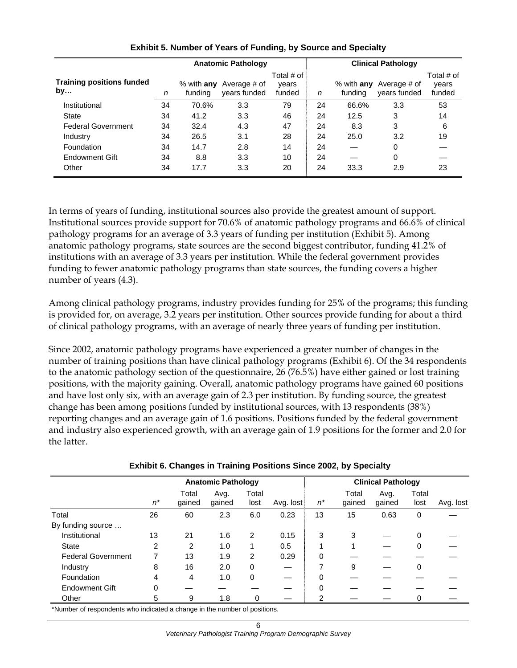|                                        |    | <b>Anatomic Pathology</b> |                              |                               |    | <b>Clinical Pathology</b> |                                                |                               |  |
|----------------------------------------|----|---------------------------|------------------------------|-------------------------------|----|---------------------------|------------------------------------------------|-------------------------------|--|
| <b>Training positions funded</b><br>by | n  | $%$ with any<br>fundina   | Average # of<br>years funded | Total # of<br>vears<br>funded | n  | funding                   | % with <b>any</b> Average # of<br>years funded | Total # of<br>vears<br>funded |  |
| Institutional                          | 34 | 70.6%                     | 3.3                          | 79                            | 24 | 66.6%                     | 3.3                                            | 53                            |  |
| <b>State</b>                           | 34 | 41.2                      | 3.3                          | 46                            | 24 | 12.5                      | 3                                              | 14                            |  |
| <b>Federal Government</b>              | 34 | 32.4                      | 4.3                          | 47                            | 24 | 8.3                       | 3                                              | 6                             |  |
| Industry                               | 34 | 26.5                      | 3.1                          | 28                            | 24 | 25.0                      | 3.2                                            | 19                            |  |
| Foundation                             | 34 | 14.7                      | 2.8                          | 14                            | 24 |                           | 0                                              |                               |  |
| Endowment Gift                         | 34 | 8.8                       | 3.3                          | 10                            | 24 |                           | 0                                              |                               |  |
| Other                                  | 34 | 17.7                      | 3.3                          | 20                            | 24 | 33.3                      | 2.9                                            | 23                            |  |

#### **Exhibit 5. Number of Years of Funding, by Source and Specialty**

In terms of years of funding, institutional sources also provide the greatest amount of support. Institutional sources provide support for 70.6% of anatomic pathology programs and 66.6% of clinical pathology programs for an average of 3.3 years of funding per institution (Exhibit 5). Among anatomic pathology programs, state sources are the second biggest contributor, funding 41.2% of institutions with an average of 3.3 years per institution. While the federal government provides funding to fewer anatomic pathology programs than state sources, the funding covers a higher number of years (4.3).

Among clinical pathology programs, industry provides funding for 25% of the programs; this funding is provided for, on average, 3.2 years per institution. Other sources provide funding for about a third of clinical pathology programs, with an average of nearly three years of funding per institution.

Since 2002, anatomic pathology programs have experienced a greater number of changes in the number of training positions than have clinical pathology programs (Exhibit 6). Of the 34 respondents to the anatomic pathology section of the questionnaire, 26 (76.5%) have either gained or lost training positions, with the majority gaining. Overall, anatomic pathology programs have gained 60 positions and have lost only six, with an average gain of 2.3 per institution. By funding source, the greatest change has been among positions funded by institutional sources, with 13 respondents (38%) reporting changes and an average gain of 1.6 positions. Positions funded by the federal government and industry also experienced growth, with an average gain of 1.9 positions for the former and 2.0 for the latter.

|                           |                | <b>Anatomic Pathology</b> |                |                |           | <b>Clinical Pathology</b> |                 |                |               |           |
|---------------------------|----------------|---------------------------|----------------|----------------|-----------|---------------------------|-----------------|----------------|---------------|-----------|
|                           | $n^*$          | Total<br>qained           | Avg.<br>gained | Total<br>lost  | Avg. lost | $n^*$                     | Total<br>qained | Avg.<br>gained | Total<br>lost | Avg. lost |
| Total                     | 26             | 60                        | 2.3            | 6.0            | 0.23      | 13                        | 15              | 0.63           | $\mathbf 0$   |           |
| By funding source         |                |                           |                |                |           |                           |                 |                |               |           |
| Institutional             | 13             | 21                        | 1.6            | $\overline{2}$ | 0.15      | 3                         | 3               |                | 0             |           |
| State                     | $\overline{2}$ | 2                         | 1.0            | 1              | 0.5       |                           |                 |                | 0             |           |
| <b>Federal Government</b> |                | 13                        | 1.9            | 2              | 0.29      | 0                         |                 |                |               |           |
| Industry                  | 8              | 16                        | 2.0            | 0              |           | 7                         | 9               |                | 0             |           |
| Foundation                | 4              | 4                         | 1.0            | 0              | —         | 0                         |                 |                |               |           |
| <b>Endowment Gift</b>     | 0              |                           |                |                |           | 0                         |                 |                |               |           |
| Other                     | 5              | 9                         | 1.8            |                |           | 2                         |                 |                | 0             |           |

#### **Exhibit 6. Changes in Training Positions Since 2002, by Specialty**

\*Number of respondents who indicated a change in the number of positions.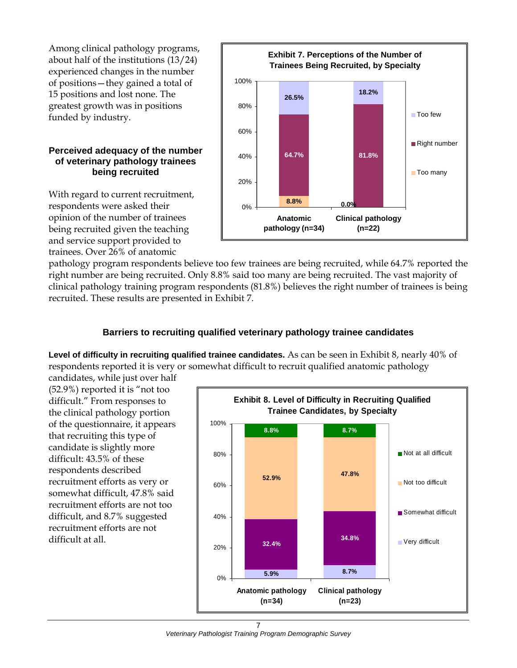Among clinical pathology programs, about half of the institutions (13/24) experienced changes in the number of positions—they gained a total of 15 positions and lost none. The greatest growth was in positions funded by industry.

#### **Perceived adequacy of the number of veterinary pathology trainees being recruited**

With regard to current recruitment, respondents were asked their opinion of the number of trainees being recruited given the teaching and service support provided to trainees. Over 26% of anatomic



pathology program respondents believe too few trainees are being recruited, while 64.7% reported the right number are being recruited. Only 8.8% said too many are being recruited. The vast majority of clinical pathology training program respondents (81.8%) believes the right number of trainees is being recruited. These results are presented in Exhibit 7.

## **Barriers to recruiting qualified veterinary pathology trainee candidates**

**Level of difficulty in recruiting qualified trainee candidates.** As can be seen in Exhibit 8, nearly 40% of respondents reported it is very or somewhat difficult to recruit qualified anatomic pathology

candidates, while just over half (52.9%) reported it is "not too difficult." From responses to the clinical pathology portion of the questionnaire, it appears that recruiting this type of candidate is slightly more difficult: 43.5% of these respondents described recruitment efforts as very or somewhat difficult, 47.8% said recruitment efforts are not too difficult, and 8.7% suggested recruitment efforts are not difficult at all.

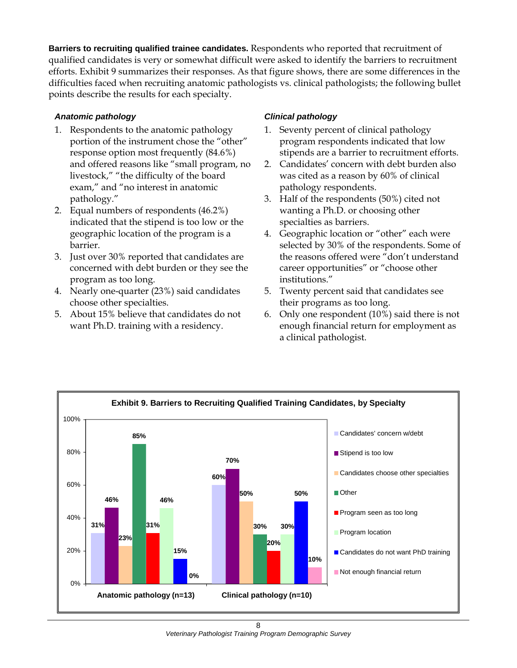**Barriers to recruiting qualified trainee candidates.** Respondents who reported that recruitment of qualified candidates is very or somewhat difficult were asked to identify the barriers to recruitment efforts. Exhibit 9 summarizes their responses. As that figure shows, there are some differences in the difficulties faced when recruiting anatomic pathologists vs. clinical pathologists; the following bullet points describe the results for each specialty.

#### *Anatomic pathology*

- 1. Respondents to the anatomic pathology portion of the instrument chose the "other" response option most frequently (84.6%) and offered reasons like "small program, no livestock," "the difficulty of the board exam," and "no interest in anatomic pathology."
- 2. Equal numbers of respondents (46.2%) indicated that the stipend is too low or the geographic location of the program is a barrier.
- 3. Just over 30% reported that candidates are concerned with debt burden or they see the program as too long.
- 4. Nearly one-quarter (23%) said candidates choose other specialties.
- 5. About 15% believe that candidates do not want Ph.D. training with a residency.

## *Clinical pathology*

- 1. Seventy percent of clinical pathology program respondents indicated that low stipends are a barrier to recruitment efforts.
- 2. Candidates' concern with debt burden also was cited as a reason by 60% of clinical pathology respondents.
- 3. Half of the respondents (50%) cited not wanting a Ph.D. or choosing other specialties as barriers.
- 4. Geographic location or "other" each were selected by 30% of the respondents. Some of the reasons offered were "don't understand career opportunities" or "choose other institutions."
- 5. Twenty percent said that candidates see their programs as too long.
- 6. Only one respondent (10%) said there is not enough financial return for employment as a clinical pathologist.



8 *Veterinary Pathologist Training Program Demographic Survey*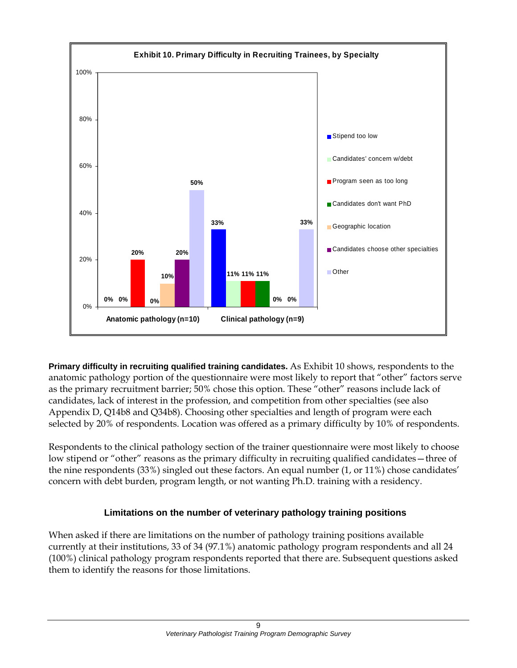

**Primary difficulty in recruiting qualified training candidates.** As Exhibit 10 shows, respondents to the anatomic pathology portion of the questionnaire were most likely to report that "other" factors serve as the primary recruitment barrier; 50% chose this option. These "other" reasons include lack of candidates, lack of interest in the profession, and competition from other specialties (see also Appendix D, Q14b8 and Q34b8). Choosing other specialties and length of program were each selected by 20% of respondents. Location was offered as a primary difficulty by 10% of respondents.

Respondents to the clinical pathology section of the trainer questionnaire were most likely to choose low stipend or "other" reasons as the primary difficulty in recruiting qualified candidates—three of the nine respondents (33%) singled out these factors. An equal number (1, or 11%) chose candidates' concern with debt burden, program length, or not wanting Ph.D. training with a residency.

## **Limitations on the number of veterinary pathology training positions**

When asked if there are limitations on the number of pathology training positions available currently at their institutions, 33 of 34 (97.1%) anatomic pathology program respondents and all 24 (100%) clinical pathology program respondents reported that there are. Subsequent questions asked them to identify the reasons for those limitations.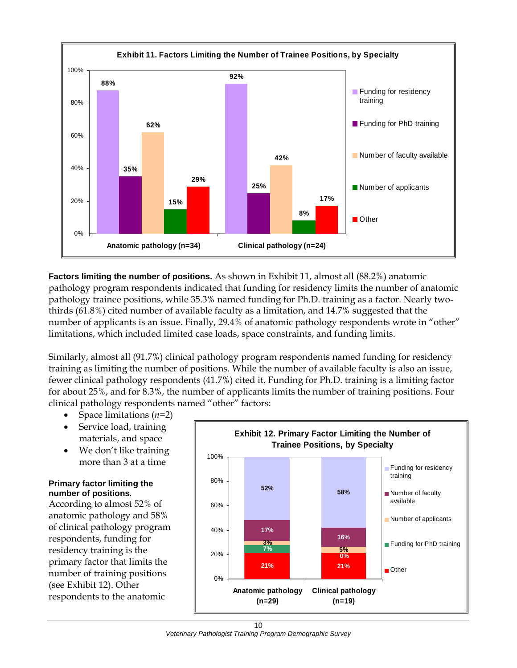

**Factors limiting the number of positions.** As shown in Exhibit 11, almost all (88.2%) anatomic pathology program respondents indicated that funding for residency limits the number of anatomic pathology trainee positions, while 35.3% named funding for Ph.D. training as a factor. Nearly twothirds (61.8%) cited number of available faculty as a limitation, and 14.7% suggested that the number of applicants is an issue. Finally, 29.4% of anatomic pathology respondents wrote in "other" limitations, which included limited case loads, space constraints, and funding limits.

Similarly, almost all (91.7%) clinical pathology program respondents named funding for residency training as limiting the number of positions. While the number of available faculty is also an issue, fewer clinical pathology respondents (41.7%) cited it. Funding for Ph.D. training is a limiting factor for about 25%, and for 8.3%, the number of applicants limits the number of training positions. Four clinical pathology respondents named "other" factors:

- Space limitations (*n*=2)
- Service load, training materials, and space
- We don't like training more than 3 at a time

#### **Primary factor limiting the number of positions***.*

According to almost 52% of anatomic pathology and 58% of clinical pathology program respondents, funding for residency training is the primary factor that limits the number of training positions (see Exhibit 12). Other respondents to the anatomic

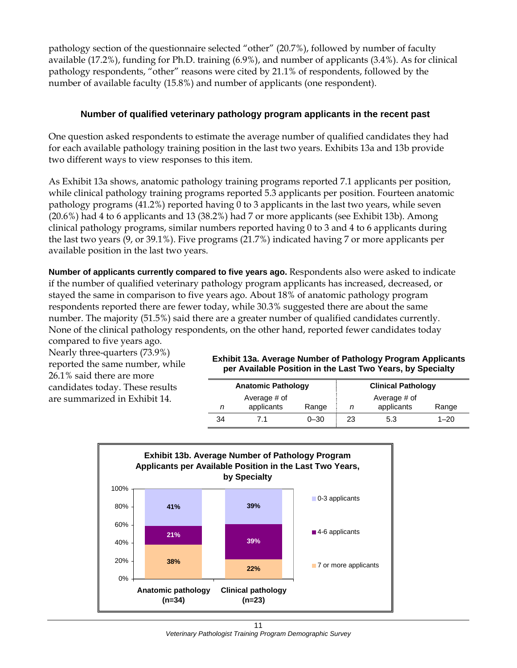pathology section of the questionnaire selected "other" (20.7%), followed by number of faculty available (17.2%), funding for Ph.D. training (6.9%), and number of applicants (3.4%). As for clinical pathology respondents, "other" reasons were cited by 21.1% of respondents, followed by the number of available faculty (15.8%) and number of applicants (one respondent).

## **Number of qualified veterinary pathology program applicants in the recent past**

One question asked respondents to estimate the average number of qualified candidates they had for each available pathology training position in the last two years. Exhibits 13a and 13b provide two different ways to view responses to this item.

As Exhibit 13a shows, anatomic pathology training programs reported 7.1 applicants per position, while clinical pathology training programs reported 5.3 applicants per position. Fourteen anatomic pathology programs (41.2%) reported having 0 to 3 applicants in the last two years, while seven (20.6%) had 4 to 6 applicants and 13 (38.2%) had 7 or more applicants (see Exhibit 13b). Among clinical pathology programs, similar numbers reported having 0 to 3 and 4 to 6 applicants during the last two years (9, or 39.1%). Five programs (21.7%) indicated having 7 or more applicants per available position in the last two years.

**Number of applicants currently compared to five years ago.** Respondents also were asked to indicate if the number of qualified veterinary pathology program applicants has increased, decreased, or stayed the same in comparison to five years ago. About 18% of anatomic pathology program respondents reported there are fewer today, while 30.3% suggested there are about the same number. The majority (51.5%) said there are a greater number of qualified candidates currently. None of the clinical pathology respondents, on the other hand, reported fewer candidates today compared to five years ago.

Nearly three-quarters (73.9%) reported the same number, while 26.1% said there are more candidates today. These results are summarized in Exhibit 14.

#### **Exhibit 13a. Average Number of Pathology Program Applicants per Available Position in the Last Two Years, by Specialty**

|    | <b>Anatomic Pathology</b>  |          |                                     | <b>Clinical Pathology</b> |          |  |  |
|----|----------------------------|----------|-------------------------------------|---------------------------|----------|--|--|
| n  | Average # of<br>applicants | Range    | Average # of<br>applicants<br>Range |                           |          |  |  |
| 34 |                            | $0 - 30$ | 23                                  | 5.3                       | $1 - 20$ |  |  |

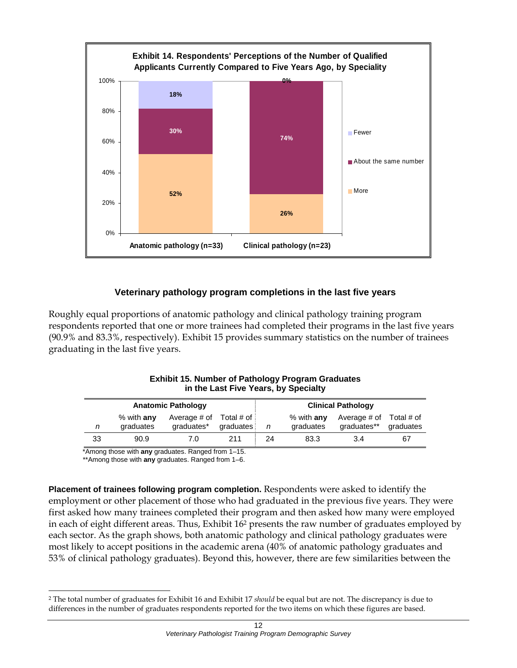

## **Veterinary pathology program completions in the last five years**

Roughly equal proportions of anatomic pathology and clinical pathology training program respondents reported that one or more trainees had completed their programs in the last five years (90.9% and 83.3%, respectively). Exhibit 15 provides summary statistics on the number of trainees graduating in the last five years.

|                           | In the Last Five Tears, by Specialty |                            |                         |    |                           |                             |                         |  |  |  |
|---------------------------|--------------------------------------|----------------------------|-------------------------|----|---------------------------|-----------------------------|-------------------------|--|--|--|
| <b>Anatomic Pathology</b> |                                      |                            |                         |    |                           | <b>Clinical Pathology</b>   |                         |  |  |  |
| n                         | % with $any$<br>graduates            | Average # of<br>graduates* | Total # of<br>graduates | n  | % with $any$<br>graduates | Average # of<br>graduates** | Total # of<br>graduates |  |  |  |
| 33                        | 90.9                                 | 7.0                        | 211                     | 24 | 83.3                      | 3.4                         | 67                      |  |  |  |

**Exhibit 15. Number of Pathology Program Graduates in the Last Five Years, by Specialty** 

\*Among those with **any** graduates. Ranged from 1–15.

\*\*Among those with **any** graduates. Ranged from 1–6.

l

**Placement of trainees following program completion.** Respondents were asked to identify the employment or other placement of those who had graduated in the previous five years. They were first asked how many trainees completed their program and then asked how many were employed in each of eight different areas. Thus, Exhibit 162 presents the raw number of graduates employed by each sector. As the graph shows, both anatomic pathology and clinical pathology graduates were most likely to accept positions in the academic arena (40% of anatomic pathology graduates and 53% of clinical pathology graduates). Beyond this, however, there are few similarities between the

<sup>2</sup> The total number of graduates for Exhibit 16 and Exhibit 17 *should* be equal but are not. The discrepancy is due to differences in the number of graduates respondents reported for the two items on which these figures are based.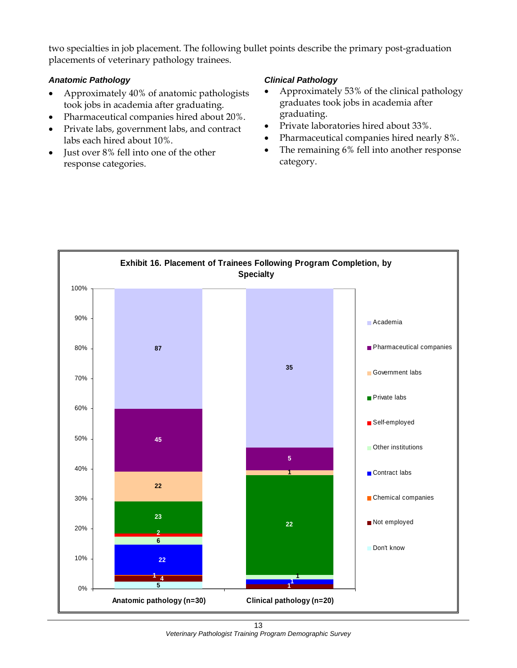two specialties in job placement. The following bullet points describe the primary post-graduation placements of veterinary pathology trainees.

#### *Anatomic Pathology*

- Approximately 40% of anatomic pathologists took jobs in academia after graduating.
- Pharmaceutical companies hired about 20%.
- Private labs, government labs, and contract labs each hired about 10%.
- Just over 8% fell into one of the other response categories.

#### *Clinical Pathology*

- Approximately 53% of the clinical pathology graduates took jobs in academia after graduating.
- Private laboratories hired about 33%.
- Pharmaceutical companies hired nearly 8%.
- The remaining 6% fell into another response category.



13 *Veterinary Pathologist Training Program Demographic Survey*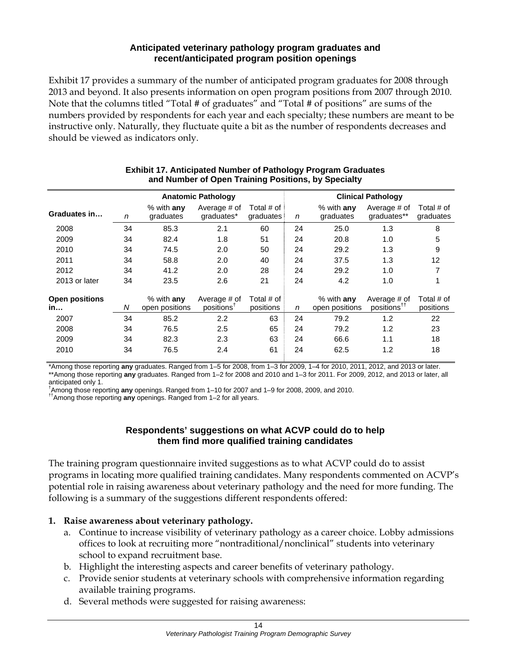#### **Anticipated veterinary pathology program graduates and recent/anticipated program position openings**

Exhibit 17 provides a summary of the number of anticipated program graduates for 2008 through 2013 and beyond. It also presents information on open program positions from 2007 through 2010. Note that the columns titled "Total # of graduates" and "Total # of positions" are sums of the numbers provided by respondents for each year and each specialty; these numbers are meant to be instructive only. Naturally, they fluctuate quite a bit as the number of respondents decreases and should be viewed as indicators only.

|                             |    |                                | <b>Anatomic Pathology</b>              |                         |    |                                | <b>Clinical Pathology</b>               |                         |
|-----------------------------|----|--------------------------------|----------------------------------------|-------------------------|----|--------------------------------|-----------------------------------------|-------------------------|
| Graduates in                | n  | $%$ with any<br>graduates      | Average # of<br>graduates*             | Total # of<br>graduates | n  | $%$ with anv<br>graduates      | Average # of<br>graduates**             | Total # of<br>graduates |
| 2008                        | 34 | 85.3                           | 2.1                                    | 60                      | 24 | 25.0                           | 1.3                                     | 8                       |
| 2009                        | 34 | 82.4                           | 1.8                                    | 51                      | 24 | 20.8                           | 1.0                                     | 5                       |
| 2010                        | 34 | 74.5                           | 2.0                                    | 50                      | 24 | 29.2                           | 1.3                                     | 9                       |
| 2011                        | 34 | 58.8                           | 2.0                                    | 40                      | 24 | 37.5                           | 1.3                                     | 12                      |
| 2012                        | 34 | 41.2                           | 2.0                                    | 28                      | 24 | 29.2                           | 1.0                                     | 7                       |
| 2013 or later               | 34 | 23.5                           | 2.6                                    | 21                      | 24 | 4.2                            | 1.0                                     | 1                       |
| <b>Open positions</b><br>in | N  | $%$ with any<br>open positions | Average # of<br>positions <sup>†</sup> | Total # of<br>positions | n  | $%$ with any<br>open positions | Average # of<br>positions <sup>††</sup> | Total # of<br>positions |
| 2007                        | 34 | 85.2                           | 2.2                                    | 63                      | 24 | 79.2                           | 1.2                                     | 22                      |
| 2008                        | 34 | 76.5                           | 2.5                                    | 65                      | 24 | 79.2                           | 1.2                                     | 23                      |
| 2009                        | 34 | 82.3                           | 2.3                                    | 63                      | 24 | 66.6                           | 1.1                                     | 18                      |
| 2010                        | 34 | 76.5                           | 2.4                                    | 61                      | 24 | 62.5                           | 1.2                                     | 18                      |

#### **Exhibit 17. Anticipated Number of Pathology Program Graduates and Number of Open Training Positions, by Specialty**

\*Among those reporting **any** graduates. Ranged from 1–5 for 2008, from 1–3 for 2009, 1–4 for 2010, 2011, 2012, and 2013 or later. \*\*Among those reporting **any** graduates. Ranged from 1–2 for 2008 and 2010 and 1–3 for 2011. For 2009, 2012, and 2013 or later, all anticipated only 1.

†Among those reporting **any** openings. Ranged from 1–10 for 2007 and 1–9 for 2008, 2009, and 2010.<br><sup>††</sup>Among those reporting **any** openings. Ranged from 1–2 for all years.

#### **Respondents' suggestions on what ACVP could do to help them find more qualified training candidates**

The training program questionnaire invited suggestions as to what ACVP could do to assist programs in locating more qualified training candidates. Many respondents commented on ACVP's potential role in raising awareness about veterinary pathology and the need for more funding. The following is a summary of the suggestions different respondents offered:

## **1. Raise awareness about veterinary pathology.**

- a. Continue to increase visibility of veterinary pathology as a career choice. Lobby admissions offices to look at recruiting more "nontraditional/nonclinical" students into veterinary school to expand recruitment base.
- b. Highlight the interesting aspects and career benefits of veterinary pathology.
- c. Provide senior students at veterinary schools with comprehensive information regarding available training programs.
- d. Several methods were suggested for raising awareness: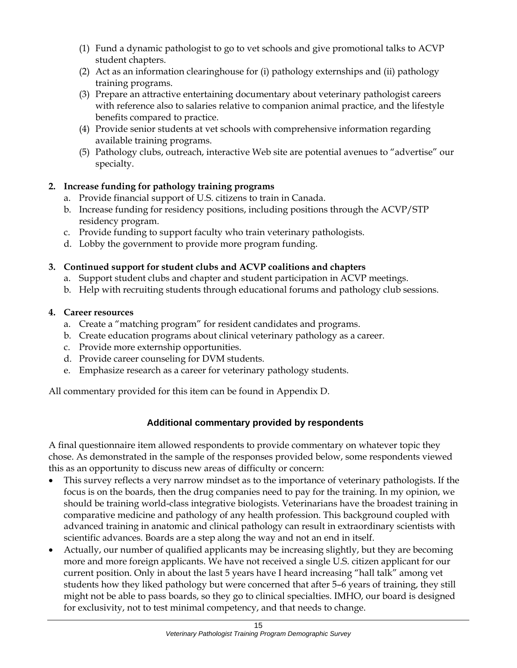- (1) Fund a dynamic pathologist to go to vet schools and give promotional talks to ACVP student chapters.
- (2) Act as an information clearinghouse for (i) pathology externships and (ii) pathology training programs.
- (3) Prepare an attractive entertaining documentary about veterinary pathologist careers with reference also to salaries relative to companion animal practice, and the lifestyle benefits compared to practice.
- (4) Provide senior students at vet schools with comprehensive information regarding available training programs.
- (5) Pathology clubs, outreach, interactive Web site are potential avenues to "advertise" our specialty.

## **2. Increase funding for pathology training programs**

- a. Provide financial support of U.S. citizens to train in Canada.
- b. Increase funding for residency positions, including positions through the ACVP/STP residency program.
- c. Provide funding to support faculty who train veterinary pathologists.
- d. Lobby the government to provide more program funding.

## **3. Continued support for student clubs and ACVP coalitions and chapters**

- a. Support student clubs and chapter and student participation in ACVP meetings.
- b. Help with recruiting students through educational forums and pathology club sessions.

## **4. Career resources**

- a. Create a "matching program" for resident candidates and programs.
- b. Create education programs about clinical veterinary pathology as a career.
- c. Provide more externship opportunities.
- d. Provide career counseling for DVM students.
- e. Emphasize research as a career for veterinary pathology students.

All commentary provided for this item can be found in Appendix D.

## **Additional commentary provided by respondents**

A final questionnaire item allowed respondents to provide commentary on whatever topic they chose. As demonstrated in the sample of the responses provided below, some respondents viewed this as an opportunity to discuss new areas of difficulty or concern:

- This survey reflects a very narrow mindset as to the importance of veterinary pathologists. If the focus is on the boards, then the drug companies need to pay for the training. In my opinion, we should be training world-class integrative biologists. Veterinarians have the broadest training in comparative medicine and pathology of any health profession. This background coupled with advanced training in anatomic and clinical pathology can result in extraordinary scientists with scientific advances. Boards are a step along the way and not an end in itself.
- Actually, our number of qualified applicants may be increasing slightly, but they are becoming more and more foreign applicants. We have not received a single U.S. citizen applicant for our current position. Only in about the last 5 years have I heard increasing "hall talk" among vet students how they liked pathology but were concerned that after 5–6 years of training, they still might not be able to pass boards, so they go to clinical specialties. IMHO, our board is designed for exclusivity, not to test minimal competency, and that needs to change.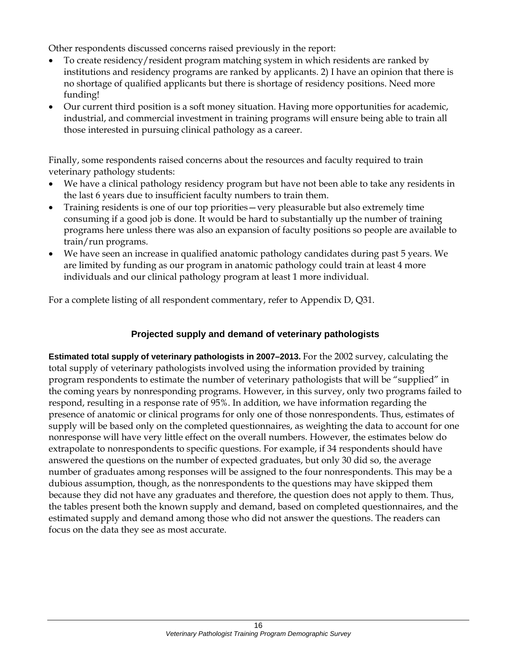Other respondents discussed concerns raised previously in the report:

- To create residency/resident program matching system in which residents are ranked by institutions and residency programs are ranked by applicants. 2) I have an opinion that there is no shortage of qualified applicants but there is shortage of residency positions. Need more funding!
- Our current third position is a soft money situation. Having more opportunities for academic, industrial, and commercial investment in training programs will ensure being able to train all those interested in pursuing clinical pathology as a career.

Finally, some respondents raised concerns about the resources and faculty required to train veterinary pathology students:

- We have a clinical pathology residency program but have not been able to take any residents in the last 6 years due to insufficient faculty numbers to train them.
- Training residents is one of our top priorities—very pleasurable but also extremely time consuming if a good job is done. It would be hard to substantially up the number of training programs here unless there was also an expansion of faculty positions so people are available to train/run programs.
- We have seen an increase in qualified anatomic pathology candidates during past 5 years. We are limited by funding as our program in anatomic pathology could train at least 4 more individuals and our clinical pathology program at least 1 more individual.

For a complete listing of all respondent commentary, refer to Appendix D, Q31.

## **Projected supply and demand of veterinary pathologists**

**Estimated total supply of veterinary pathologists in 2007–2013.** For the 2002 survey, calculating the total supply of veterinary pathologists involved using the information provided by training program respondents to estimate the number of veterinary pathologists that will be "supplied" in the coming years by nonresponding programs. However, in this survey, only two programs failed to respond, resulting in a response rate of 95%. In addition, we have information regarding the presence of anatomic or clinical programs for only one of those nonrespondents. Thus, estimates of supply will be based only on the completed questionnaires, as weighting the data to account for one nonresponse will have very little effect on the overall numbers. However, the estimates below do extrapolate to nonrespondents to specific questions. For example, if 34 respondents should have answered the questions on the number of expected graduates, but only 30 did so, the average number of graduates among responses will be assigned to the four nonrespondents. This may be a dubious assumption, though, as the nonrespondents to the questions may have skipped them because they did not have any graduates and therefore, the question does not apply to them. Thus, the tables present both the known supply and demand, based on completed questionnaires, and the estimated supply and demand among those who did not answer the questions. The readers can focus on the data they see as most accurate.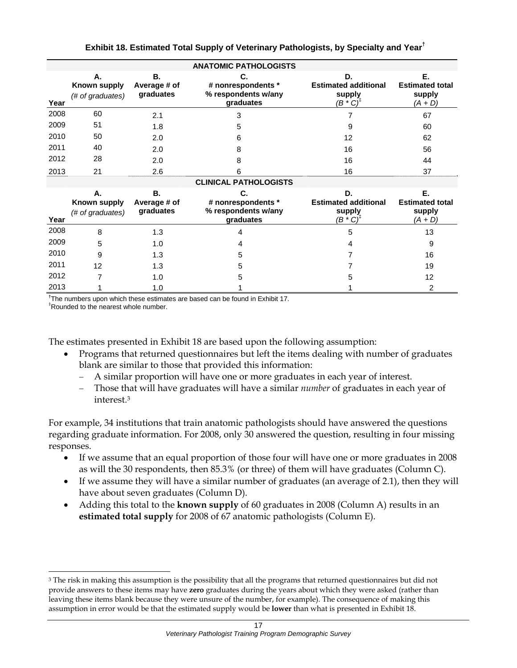|      | <b>ANATOMIC PATHOLOGISTS</b>           |                                 |                                                              |                                                                     |                                                     |  |  |  |  |
|------|----------------------------------------|---------------------------------|--------------------------------------------------------------|---------------------------------------------------------------------|-----------------------------------------------------|--|--|--|--|
| Year | А.<br>Known supply<br>(# of graduates) | В.<br>Average # of<br>graduates | C.<br># nonrespondents *<br>% respondents w/any<br>graduates | D.<br><b>Estimated additional</b><br>supply<br>$(B * C)^{\ddagger}$ | Е.<br><b>Estimated total</b><br>supply<br>$(A + D)$ |  |  |  |  |
| 2008 | 60                                     | 2.1                             | 3                                                            |                                                                     | 67                                                  |  |  |  |  |
| 2009 | 51                                     | 1.8                             | 5                                                            | 9                                                                   | 60                                                  |  |  |  |  |
| 2010 | 50                                     | 2.0                             | 6                                                            | 12                                                                  | 62                                                  |  |  |  |  |
| 2011 | 40                                     | 2.0                             | 8                                                            | 16                                                                  | 56                                                  |  |  |  |  |
| 2012 | 28                                     | 2.0                             | 8                                                            | 16                                                                  | 44                                                  |  |  |  |  |
| 2013 | 21                                     | 2.6                             | 6                                                            | 16                                                                  | 37                                                  |  |  |  |  |
|      |                                        |                                 | <b>CLINICAL PATHOLOGISTS</b>                                 |                                                                     |                                                     |  |  |  |  |
| Year | А.<br>Known supply<br>(# of graduates) | В.<br>Average # of<br>graduates | C.<br># nonrespondents *<br>% respondents w/any<br>graduates | D.<br><b>Estimated additional</b><br>supply<br>$(B * C)^{T}$        | Ε.<br><b>Estimated total</b><br>supply<br>$(A + D)$ |  |  |  |  |
| 2008 | 8                                      | 1.3                             | 4                                                            | 5                                                                   | 13                                                  |  |  |  |  |
| 2009 | 5                                      | 1.0                             | 4                                                            | 4                                                                   | 9                                                   |  |  |  |  |
| 2010 | 9                                      | 1.3                             | 5                                                            |                                                                     | 16                                                  |  |  |  |  |
| 2011 | 12                                     | 1.3                             | 5                                                            |                                                                     | 19                                                  |  |  |  |  |
| 2012 |                                        | 1.0                             | 5                                                            | 5                                                                   | 12                                                  |  |  |  |  |
| 2013 |                                        | 1.0                             |                                                              |                                                                     | 2                                                   |  |  |  |  |

**Exhibit 18. Estimated Total Supply of Veterinary Pathologists, by Specialty and Year†**

**†** The numbers upon which these estimates are based can be found in Exhibit 17.

‡ Rounded to the nearest whole number.

l

The estimates presented in Exhibit 18 are based upon the following assumption:

- Programs that returned questionnaires but left the items dealing with number of graduates blank are similar to those that provided this information:
	- − A similar proportion will have one or more graduates in each year of interest.
	- − Those that will have graduates will have a similar *number* of graduates in each year of interest.3

For example, 34 institutions that train anatomic pathologists should have answered the questions regarding graduate information. For 2008, only 30 answered the question, resulting in four missing responses.

- If we assume that an equal proportion of those four will have one or more graduates in 2008 as will the 30 respondents, then 85.3% (or three) of them will have graduates (Column C).
- If we assume they will have a similar number of graduates (an average of 2.1), then they will have about seven graduates (Column D).
- Adding this total to the **known supply** of 60 graduates in 2008 (Column A) results in an **estimated total supply** for 2008 of 67 anatomic pathologists (Column E).

<sup>&</sup>lt;sup>3</sup> The risk in making this assumption is the possibility that all the programs that returned questionnaires but did not provide answers to these items may have **zero** graduates during the years about which they were asked (rather than leaving these items blank because they were unsure of the number, for example). The consequence of making this assumption in error would be that the estimated supply would be **lower** than what is presented in Exhibit 18.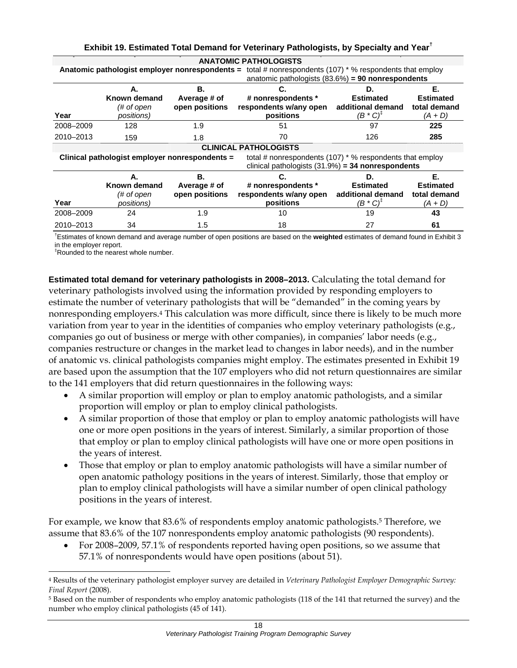|           | <b>ANATOMIC PATHOLOGISTS</b>                   |                |                                                                                                                    |                                |                  |  |  |  |  |  |
|-----------|------------------------------------------------|----------------|--------------------------------------------------------------------------------------------------------------------|--------------------------------|------------------|--|--|--|--|--|
|           |                                                |                | Anatomic pathologist employer nonrespondents = total # nonrespondents (107) * % respondents that employ            |                                |                  |  |  |  |  |  |
|           |                                                |                | anatomic pathologists $(83.6%) = 90$ nonrespondents                                                                |                                |                  |  |  |  |  |  |
|           | А.                                             | В.             | С.                                                                                                                 | D.                             | Е.               |  |  |  |  |  |
|           | Known demand                                   | Average # of   | # nonrespondents *                                                                                                 | <b>Estimated</b>               | <b>Estimated</b> |  |  |  |  |  |
|           | (# of open                                     | open positions | respondents w/any open                                                                                             | additional demand              | total demand     |  |  |  |  |  |
| Year      | <i>positions</i> )                             |                | positions                                                                                                          | $(B \ ^{\ast} C)^{\dagger}$    | $(A + D)$        |  |  |  |  |  |
| 2008-2009 | 128                                            | 1.9            | 51                                                                                                                 | 97                             | 225              |  |  |  |  |  |
| 2010-2013 | 159                                            | 1.8            | 70                                                                                                                 | 126                            | 285              |  |  |  |  |  |
|           |                                                |                | <b>CLINICAL PATHOLOGISTS</b>                                                                                       |                                |                  |  |  |  |  |  |
|           | Clinical pathologist employer nonrespondents = |                | total # nonrespondents $(107)$ * % respondents that employ<br>clinical pathologists $(31.9\%) = 34$ nonrespondents |                                |                  |  |  |  |  |  |
|           | А.                                             | В.             |                                                                                                                    | D.                             | Е.               |  |  |  |  |  |
|           | Known demand                                   | Average # of   | # nonrespondents *                                                                                                 | <b>Estimated</b>               | <b>Estimated</b> |  |  |  |  |  |
|           | (# of open                                     | open positions | respondents w/any open                                                                                             | additional demand              | total demand     |  |  |  |  |  |
| Year      | <i>positions</i> )                             |                | positions                                                                                                          | $(B \ ^{\ast} C)^{\mathsf{F}}$ | (A + D)          |  |  |  |  |  |
| 2008-2009 | 24                                             | 1.9            | 10                                                                                                                 | 19                             | 43               |  |  |  |  |  |
| 2010-2013 | 34                                             | 1.5            | 18                                                                                                                 | 27                             | 61               |  |  |  |  |  |

#### **Exhibit 19. Estimated Total Demand for Veterinary Pathologists, by Specialty and Year†**

† Estimates of known demand and average number of open positions are based on the **weighted** estimates of demand found in Exhibit 3 in the employer report.

‡ Rounded to the nearest whole number.

l

**Estimated total demand for veterinary pathologists in 2008–2013.** Calculating the total demand for veterinary pathologists involved using the information provided by responding employers to estimate the number of veterinary pathologists that will be "demanded" in the coming years by nonresponding employers.4 This calculation was more difficult, since there is likely to be much more variation from year to year in the identities of companies who employ veterinary pathologists (e.g., companies go out of business or merge with other companies), in companies' labor needs (e.g., companies restructure or changes in the market lead to changes in labor needs), and in the number of anatomic vs. clinical pathologists companies might employ. The estimates presented in Exhibit 19 are based upon the assumption that the 107 employers who did not return questionnaires are similar to the 141 employers that did return questionnaires in the following ways:

- A similar proportion will employ or plan to employ anatomic pathologists, and a similar proportion will employ or plan to employ clinical pathologists.
- A similar proportion of those that employ or plan to employ anatomic pathologists will have one or more open positions in the years of interest. Similarly, a similar proportion of those that employ or plan to employ clinical pathologists will have one or more open positions in the years of interest.
- Those that employ or plan to employ anatomic pathologists will have a similar number of open anatomic pathology positions in the years of interest. Similarly, those that employ or plan to employ clinical pathologists will have a similar number of open clinical pathology positions in the years of interest.

For example, we know that 83.6% of respondents employ anatomic pathologists.5 Therefore, we assume that 83.6% of the 107 nonrespondents employ anatomic pathologists (90 respondents).

• For 2008–2009, 57.1% of respondents reported having open positions, so we assume that 57.1% of nonrespondents would have open positions (about 51).

<sup>4</sup> Results of the veterinary pathologist employer survey are detailed in *Veterinary Pathologist Employer Demographic Survey: Final Report* (2008).

<sup>5</sup> Based on the number of respondents who employ anatomic pathologists (118 of the 141 that returned the survey) and the number who employ clinical pathologists (45 of 141).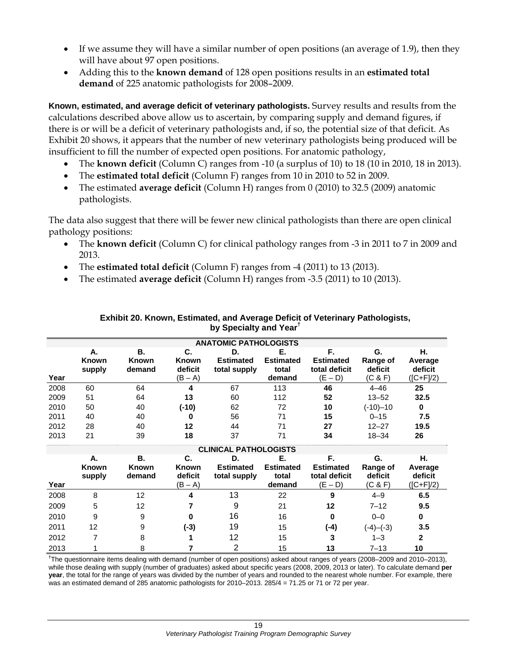- If we assume they will have a similar number of open positions (an average of 1.9), then they will have about 97 open positions.
- Adding this to the **known demand** of 128 open positions results in an **estimated total demand** of 225 anatomic pathologists for 2008–2009.

**Known, estimated, and average deficit of veterinary pathologists.** Survey results and results from the calculations described above allow us to ascertain, by comparing supply and demand figures, if there is or will be a deficit of veterinary pathologists and, if so, the potential size of that deficit. As Exhibit 20 shows, it appears that the number of new veterinary pathologists being produced will be insufficient to fill the number of expected open positions. For anatomic pathology,

- The **known deficit** (Column C) ranges from -10 (a surplus of 10) to 18 (10 in 2010, 18 in 2013).
- The **estimated total deficit** (Column F) ranges from 10 in 2010 to 52 in 2009.
- The estimated **average deficit** (Column H) ranges from 0 (2010) to 32.5 (2009) anatomic pathologists.

The data also suggest that there will be fewer new clinical pathologists than there are open clinical pathology positions:

- The **known deficit** (Column C) for clinical pathology ranges from -3 in 2011 to 7 in 2009 and 2013.
- The **estimated total deficit** (Column F) ranges from -4 (2011) to 13 (2013).
- The estimated **average deficit** (Column H) ranges from -3.5 (2011) to 10 (2013).

|      | <b>ANATOMIC PATHOLOGISTS</b> |                                     |                                            |                                                                                                                                            |                                           |                                                      |                                      |                                       |
|------|------------------------------|-------------------------------------|--------------------------------------------|--------------------------------------------------------------------------------------------------------------------------------------------|-------------------------------------------|------------------------------------------------------|--------------------------------------|---------------------------------------|
| Year | А.<br>Known<br>supply        | <b>B.</b><br><b>Known</b><br>demand | C.<br><b>Known</b><br>deficit<br>(B – A)   | D.<br><b>Estimated</b><br>total supply                                                                                                     | Е.<br><b>Estimated</b><br>total<br>demand | F.<br><b>Estimated</b><br>total deficit<br>$(E - D)$ | G.<br>Range of<br>deficit<br>(C & F) | Н.<br>Average<br>deficit<br>([C+F]/2) |
| 2008 | 60                           | 64                                  | 4                                          | 67                                                                                                                                         | 113                                       | 46                                                   | $4 - 46$                             | 25                                    |
| 2009 | 51                           | 64                                  | 13                                         | 60                                                                                                                                         | 112                                       | 52                                                   | $13 - 52$                            | 32.5                                  |
| 2010 | 50                           | 40                                  | $(-10)$                                    | 62                                                                                                                                         | 72                                        | 10                                                   | (-10)-10                             | 0                                     |
| 2011 | 40                           | 40                                  | 0                                          | 56                                                                                                                                         | 71                                        | 15                                                   | $0 - 15$                             | 7.5                                   |
| 2012 | 28                           | 40                                  | 12                                         | 44                                                                                                                                         | 71                                        | 27                                                   | $12 - 27$                            | 19.5                                  |
| 2013 | 21                           | 39                                  | 18                                         | 37                                                                                                                                         | 71                                        | 34                                                   | $18 - 34$                            | 26                                    |
|      |                              |                                     |                                            | <b>CLINICAL PATHOLOGISTS</b>                                                                                                               |                                           |                                                      |                                      |                                       |
| Year | А.<br><b>Known</b><br>supply | <b>B.</b><br>Known<br>demand        | C.<br><b>Known</b><br>deficit<br>$(B - A)$ | D.<br><b>Estimated</b><br>total supply                                                                                                     | Е.<br><b>Estimated</b><br>total<br>demand | F.<br><b>Estimated</b><br>total deficit<br>$(E - D)$ | G.<br>Range of<br>deficit<br>(C & F) | н.<br>Average<br>deficit<br>([C+F]/2) |
| 2008 | 8                            | 12                                  | 4                                          | 13                                                                                                                                         | 22                                        | 9                                                    | $4 - 9$                              | 6.5                                   |
| 2009 | 5                            | 12                                  |                                            | 9                                                                                                                                          | 21                                        | 12                                                   | $7 - 12$                             | 9.5                                   |
| 2010 | 9                            | 9                                   | n                                          | 16                                                                                                                                         | 16                                        | 0                                                    | $0 - 0$                              | 0                                     |
| 2011 | 12                           | 9                                   | $(-3)$                                     | 19                                                                                                                                         | 15                                        | $(-4)$                                               | $(-4)$ – $(-3)$                      | 3.5                                   |
| 2012 | 7                            | 8                                   |                                            | 12                                                                                                                                         | 15                                        | 3                                                    | $1 - 3$                              | $\mathbf{2}$                          |
| 2013 |                              | 8                                   |                                            | 2                                                                                                                                          | 15                                        | 13                                                   | $7 - 13$                             | 10                                    |
|      |                              |                                     |                                            | <sup>†</sup> The questionnaire items dealing with demand (number of open positions) asked about ranges of years (2008–2009 and 2010–2013), |                                           |                                                      |                                      |                                       |

#### **Exhibit 20. Known, Estimated, and Average Deficit of Veterinary Pathologists, by Specialty and Year†**

while those dealing with supply (number of graduates) asked about specific years (2008, 2009, 2013 or later). To calculate demand **per year**, the total for the range of years was divided by the number of years and rounded to the nearest whole number. For example, there was an estimated demand of 285 anatomic pathologists for 2010–2013. 285/4 = 71.25 or 71 or 72 per year.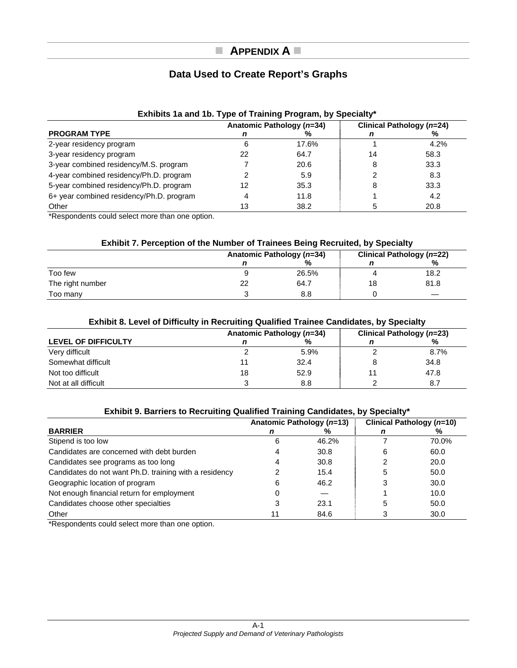## **APPENDIX A**

## **Data Used to Create Report's Graphs**

| <b>Exhibits Ta and Tb. Type of Training Program, by Specialty</b> |    |                           |    |                           |  |  |
|-------------------------------------------------------------------|----|---------------------------|----|---------------------------|--|--|
|                                                                   |    | Anatomic Pathology (n=34) |    | Clinical Pathology (n=24) |  |  |
| <b>PROGRAM TYPE</b>                                               |    | ℅                         |    | ℅                         |  |  |
| 2-year residency program                                          |    | 17.6%                     |    | 4.2%                      |  |  |
| 3-year residency program                                          | 22 | 64.7                      | 14 | 58.3                      |  |  |
| 3-year combined residency/M.S. program                            |    | 20.6                      | 8  | 33.3                      |  |  |
| 4-year combined residency/Ph.D. program                           |    | 5.9                       |    | 8.3                       |  |  |
| 5-year combined residency/Ph.D. program                           | 12 | 35.3                      | 8  | 33.3                      |  |  |
| 6+ year combined residency/Ph.D. program                          |    | 11.8                      |    | 4.2                       |  |  |
| Other                                                             | 13 | 38.2                      |    | 20.8                      |  |  |

## **Exhibits 1a and 1b. Type of Training Program, by Specialty\***

\*Respondents could select more than one option.

#### **Exhibit 7. Perception of the Number of Trainees Being Recruited, by Specialty**

|                  |    | Anatomic Pathology (n=34) |    | Clinical Pathology (n=22) |
|------------------|----|---------------------------|----|---------------------------|
|                  |    | %                         |    | %                         |
| Too few          |    | 26.5%                     |    | 18.2                      |
| The right number | 22 | 64.7                      | 18 | 81.8                      |
| Too many         |    | 8.8                       |    |                           |

#### **Exhibit 8. Level of Difficulty in Recruiting Qualified Trainee Candidates, by Specialty**

|                      |    | Anatomic Pathology (n=34) |    | Clinical Pathology (n=23) |
|----------------------|----|---------------------------|----|---------------------------|
| LEVEL OF DIFFICULTY  |    | %                         |    | %                         |
| Very difficult       |    | 5.9%                      |    | 8.7%                      |
| Somewhat difficult   |    | 32.4                      |    | 34.8                      |
| Not too difficult    | 18 | 52.9                      | 11 | 47.8                      |
| Not at all difficult |    | 8.8                       |    | 8.7                       |

#### **Exhibit 9. Barriers to Recruiting Qualified Training Candidates, by Specialty\***

|                                                        | Anatomic Pathology (n=13) |       |   | Clinical Pathology (n=10) |
|--------------------------------------------------------|---------------------------|-------|---|---------------------------|
| <b>BARRIER</b>                                         |                           | ℅     |   | ℅                         |
| Stipend is too low                                     | 6                         | 46.2% |   | 70.0%                     |
| Candidates are concerned with debt burden              |                           | 30.8  | 6 | 60.0                      |
| Candidates see programs as too long                    |                           | 30.8  |   | 20.0                      |
| Candidates do not want Ph.D. training with a residency |                           | 15.4  |   | 50.0                      |
| Geographic location of program                         |                           | 46.2  |   | 30.0                      |
| Not enough financial return for employment             |                           |       |   | 10.0                      |
| Candidates choose other specialties                    |                           | 23.1  | 5 | 50.0                      |
| Other                                                  | 11                        | 84.6  |   | 30.0                      |

\*Respondents could select more than one option.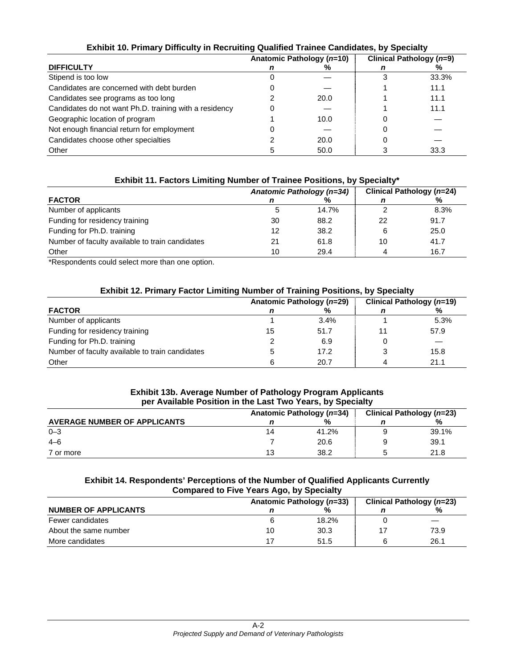| $\blacksquare$                                         |  |                           |                          |       |  |  |
|--------------------------------------------------------|--|---------------------------|--------------------------|-------|--|--|
|                                                        |  | Anatomic Pathology (n=10) | Clinical Pathology (n=9) |       |  |  |
| <b>DIFFICULTY</b>                                      |  | %                         |                          |       |  |  |
| Stipend is too low                                     |  |                           |                          | 33.3% |  |  |
| Candidates are concerned with debt burden              |  |                           |                          | 11.1  |  |  |
| Candidates see programs as too long                    |  | 20.0                      |                          | 11.1  |  |  |
| Candidates do not want Ph.D. training with a residency |  |                           |                          | 11.1  |  |  |
| Geographic location of program                         |  | 10.0                      |                          |       |  |  |
| Not enough financial return for employment             |  |                           |                          |       |  |  |
| Candidates choose other specialties                    |  | 20.0                      |                          |       |  |  |
| Other                                                  |  | 50.0                      |                          | 33.3  |  |  |

#### **Exhibit 10. Primary Difficulty in Recruiting Qualified Trainee Candidates, by Specialty**

#### **Exhibit 11. Factors Limiting Number of Trainee Positions, by Specialty\***

|                                                 |    | Anatomic Pathology (n=34) | Clinical Pathology (n=24) |      |  |
|-------------------------------------------------|----|---------------------------|---------------------------|------|--|
| <b>FACTOR</b>                                   |    | ℅                         |                           | %    |  |
| Number of applicants                            |    | 14.7%                     |                           | 8.3% |  |
| Funding for residency training                  | 30 | 88.2                      | 22                        | 91.7 |  |
| Funding for Ph.D. training                      | 12 | 38.2                      | 6                         | 25.0 |  |
| Number of faculty available to train candidates | 21 | 61.8                      | 10                        | 41.7 |  |
| Other                                           | 10 | 29.4                      |                           | 16.7 |  |

\*Respondents could select more than one option.

#### **Exhibit 12. Primary Factor Limiting Number of Training Positions, by Specialty**

|                                                 |    | Anatomic Pathology (n=29) | Clinical Pathology (n=19) |      |
|-------------------------------------------------|----|---------------------------|---------------------------|------|
| <b>FACTOR</b>                                   |    | ℅                         |                           | ℅    |
| Number of applicants                            |    | 3.4%                      |                           | 5.3% |
| Funding for residency training                  | 15 | 51.7                      |                           | 57.9 |
| Funding for Ph.D. training                      |    | 6.9                       |                           |      |
| Number of faculty available to train candidates |    | 17.2                      |                           | 15.8 |
| Other                                           | 6  | 20.7                      |                           | 21.1 |

#### **Exhibit 13b. Average Number of Pathology Program Applicants per Available Position in the Last Two Years, by Specialty**

|                                     |    | Anatomic Pathology (n=34) | Clinical Pathology (n=23) |       |
|-------------------------------------|----|---------------------------|---------------------------|-------|
| <b>AVERAGE NUMBER OF APPLICANTS</b> |    | %                         |                           | %     |
| $0 - 3$                             | 14 | 41.2%                     | a                         | 39.1% |
| $4 - 6$                             |    | 20.6                      | a                         | 39.1  |
| 7 or more                           | 13 | 38.2                      |                           | 21.8  |

#### **Exhibit 14. Respondents' Perceptions of the Number of Qualified Applicants Currently Compared to Five Years Ago, by Specialty**

|                             |    | Anatomic Pathology (n=33) | Clinical Pathology (n=23) |      |  |
|-----------------------------|----|---------------------------|---------------------------|------|--|
| <b>NUMBER OF APPLICANTS</b> |    | %                         |                           | %    |  |
| Fewer candidates            |    | 18.2%                     |                           |      |  |
| About the same number       | 10 | 30.3                      |                           | 73.9 |  |
| More candidates             |    | 51.5                      | 6                         | 26.1 |  |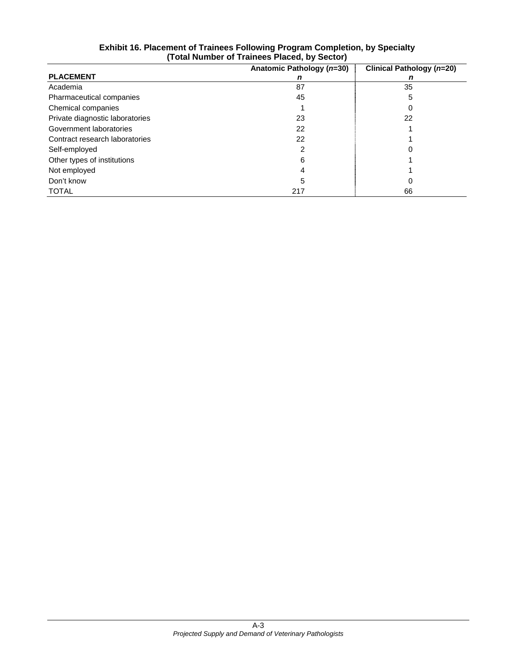|                                 | Anatomic Pathology (n=30) | Clinical Pathology (n=20) |
|---------------------------------|---------------------------|---------------------------|
| <b>PLACEMENT</b>                | n                         | n                         |
| Academia                        | 87                        | 35                        |
| Pharmaceutical companies        | 45                        | 5                         |
| Chemical companies              |                           |                           |
| Private diagnostic laboratories | 23                        | 22                        |
| Government laboratories         | 22                        |                           |
| Contract research laboratories  | 22                        |                           |
| Self-employed                   |                           |                           |
| Other types of institutions     | 6                         |                           |
| Not employed                    |                           |                           |
| Don't know                      | 5                         | 0                         |
| <b>TOTAL</b>                    | 217                       | 66                        |

#### **Exhibit 16. Placement of Trainees Following Program Completion, by Specialty (Total Number of Trainees Placed, by Sector)**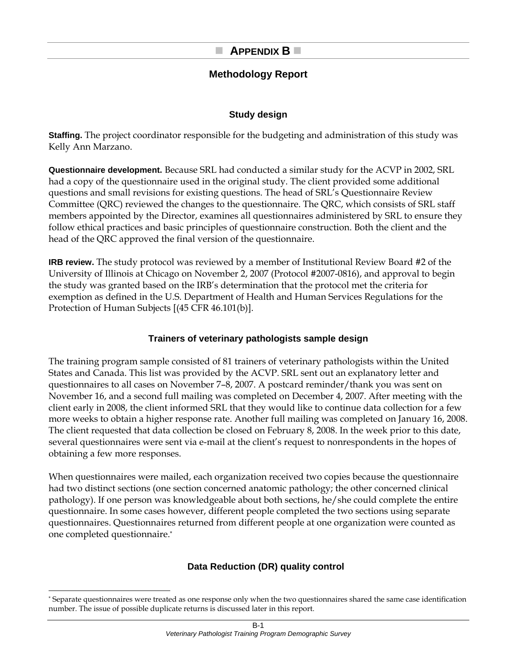## **Methodology Report**

## **Study design**

**Staffing.** The project coordinator responsible for the budgeting and administration of this study was Kelly Ann Marzano.

**Questionnaire development.** Because SRL had conducted a similar study for the ACVP in 2002, SRL had a copy of the questionnaire used in the original study. The client provided some additional questions and small revisions for existing questions. The head of SRL's Questionnaire Review Committee (QRC) reviewed the changes to the questionnaire. The QRC, which consists of SRL staff members appointed by the Director, examines all questionnaires administered by SRL to ensure they follow ethical practices and basic principles of questionnaire construction. Both the client and the head of the QRC approved the final version of the questionnaire.

**IRB review.** The study protocol was reviewed by a member of Institutional Review Board #2 of the University of Illinois at Chicago on November 2, 2007 (Protocol #2007-0816), and approval to begin the study was granted based on the IRB's determination that the protocol met the criteria for exemption as defined in the U.S. Department of Health and Human Services Regulations for the Protection of Human Subjects [(45 CFR 46.101(b)].

## **Trainers of veterinary pathologists sample design**

The training program sample consisted of 81 trainers of veterinary pathologists within the United States and Canada. This list was provided by the ACVP. SRL sent out an explanatory letter and questionnaires to all cases on November 7–8, 2007. A postcard reminder/thank you was sent on November 16, and a second full mailing was completed on December 4, 2007. After meeting with the client early in 2008, the client informed SRL that they would like to continue data collection for a few more weeks to obtain a higher response rate. Another full mailing was completed on January 16, 2008. The client requested that data collection be closed on February 8, 2008. In the week prior to this date, several questionnaires were sent via e-mail at the client's request to nonrespondents in the hopes of obtaining a few more responses.

When questionnaires were mailed, each organization received two copies because the questionnaire had two distinct sections (one section concerned anatomic pathology; the other concerned clinical pathology). If one person was knowledgeable about both sections, he/she could complete the entire questionnaire. In some cases however, different people completed the two sections using separate questionnaires. Questionnaires returned from different people at one organization were counted as one completed questionnaire.\*

## **Data Reduction (DR) quality control**

l

<sup>\*</sup> Separate questionnaires were treated as one response only when the two questionnaires shared the same case identification number. The issue of possible duplicate returns is discussed later in this report.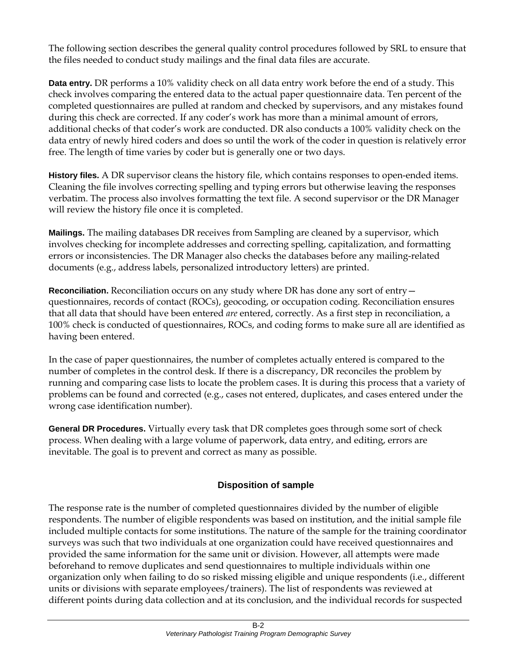The following section describes the general quality control procedures followed by SRL to ensure that the files needed to conduct study mailings and the final data files are accurate.

**Data entry.** DR performs a 10% validity check on all data entry work before the end of a study. This check involves comparing the entered data to the actual paper questionnaire data. Ten percent of the completed questionnaires are pulled at random and checked by supervisors, and any mistakes found during this check are corrected. If any coder's work has more than a minimal amount of errors, additional checks of that coder's work are conducted. DR also conducts a 100% validity check on the data entry of newly hired coders and does so until the work of the coder in question is relatively error free. The length of time varies by coder but is generally one or two days.

**History files.** A DR supervisor cleans the history file, which contains responses to open-ended items. Cleaning the file involves correcting spelling and typing errors but otherwise leaving the responses verbatim. The process also involves formatting the text file. A second supervisor or the DR Manager will review the history file once it is completed.

**Mailings.** The mailing databases DR receives from Sampling are cleaned by a supervisor, which involves checking for incomplete addresses and correcting spelling, capitalization, and formatting errors or inconsistencies. The DR Manager also checks the databases before any mailing-related documents (e.g., address labels, personalized introductory letters) are printed.

**Reconciliation.** Reconciliation occurs on any study where DR has done any sort of entry questionnaires, records of contact (ROCs), geocoding, or occupation coding. Reconciliation ensures that all data that should have been entered *are* entered, correctly. As a first step in reconciliation, a 100% check is conducted of questionnaires, ROCs, and coding forms to make sure all are identified as having been entered.

In the case of paper questionnaires, the number of completes actually entered is compared to the number of completes in the control desk. If there is a discrepancy, DR reconciles the problem by running and comparing case lists to locate the problem cases. It is during this process that a variety of problems can be found and corrected (e.g., cases not entered, duplicates, and cases entered under the wrong case identification number).

**General DR Procedures.** Virtually every task that DR completes goes through some sort of check process. When dealing with a large volume of paperwork, data entry, and editing, errors are inevitable. The goal is to prevent and correct as many as possible.

## **Disposition of sample**

The response rate is the number of completed questionnaires divided by the number of eligible respondents. The number of eligible respondents was based on institution, and the initial sample file included multiple contacts for some institutions. The nature of the sample for the training coordinator surveys was such that two individuals at one organization could have received questionnaires and provided the same information for the same unit or division. However, all attempts were made beforehand to remove duplicates and send questionnaires to multiple individuals within one organization only when failing to do so risked missing eligible and unique respondents (i.e., different units or divisions with separate employees/trainers). The list of respondents was reviewed at different points during data collection and at its conclusion, and the individual records for suspected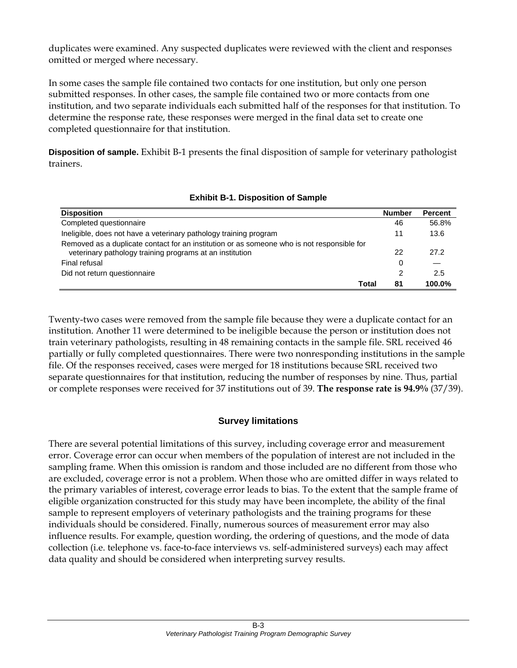duplicates were examined. Any suspected duplicates were reviewed with the client and responses omitted or merged where necessary.

In some cases the sample file contained two contacts for one institution, but only one person submitted responses. In other cases, the sample file contained two or more contacts from one institution, and two separate individuals each submitted half of the responses for that institution. To determine the response rate, these responses were merged in the final data set to create one completed questionnaire for that institution.

**Disposition of sample.** Exhibit B-1 presents the final disposition of sample for veterinary pathologist trainers.

| <b>Disposition</b>                                                                         | <b>Number</b> | <b>Percent</b> |
|--------------------------------------------------------------------------------------------|---------------|----------------|
| Completed questionnaire                                                                    | 46            | 56.8%          |
| Ineligible, does not have a veterinary pathology training program                          | 11            | 13.6           |
| Removed as a duplicate contact for an institution or as someone who is not responsible for |               |                |
| veterinary pathology training programs at an institution                                   | 22            | 27.2           |
| Final refusal                                                                              | 0             |                |
| Did not return questionnaire                                                               | 2             | 2.5            |
| Total                                                                                      | 81            | 100.0%         |

## **Exhibit B-1. Disposition of Sample**

Twenty-two cases were removed from the sample file because they were a duplicate contact for an institution. Another 11 were determined to be ineligible because the person or institution does not train veterinary pathologists, resulting in 48 remaining contacts in the sample file. SRL received 46 partially or fully completed questionnaires. There were two nonresponding institutions in the sample file. Of the responses received, cases were merged for 18 institutions because SRL received two separate questionnaires for that institution, reducing the number of responses by nine. Thus, partial or complete responses were received for 37 institutions out of 39. **The response rate is 94.9%** (37/39).

#### **Survey limitations**

There are several potential limitations of this survey, including coverage error and measurement error. Coverage error can occur when members of the population of interest are not included in the sampling frame. When this omission is random and those included are no different from those who are excluded, coverage error is not a problem. When those who are omitted differ in ways related to the primary variables of interest, coverage error leads to bias. To the extent that the sample frame of eligible organization constructed for this study may have been incomplete, the ability of the final sample to represent employers of veterinary pathologists and the training programs for these individuals should be considered. Finally, numerous sources of measurement error may also influence results. For example, question wording, the ordering of questions, and the mode of data collection (i.e. telephone vs. face-to-face interviews vs. self-administered surveys) each may affect data quality and should be considered when interpreting survey results.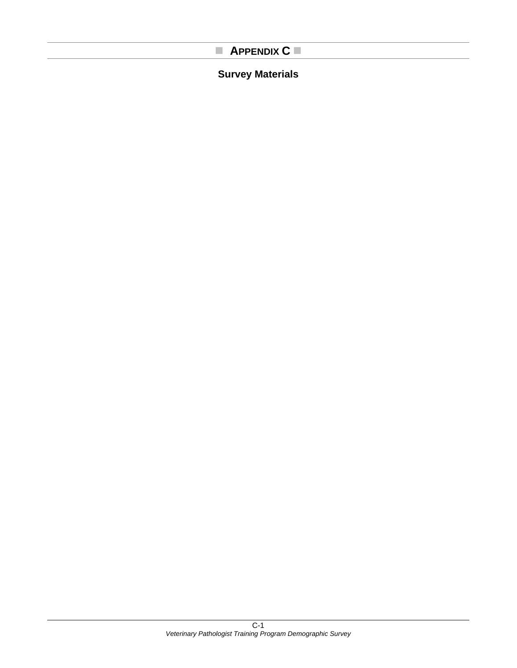## **APPENDIX C**

## **Survey Materials**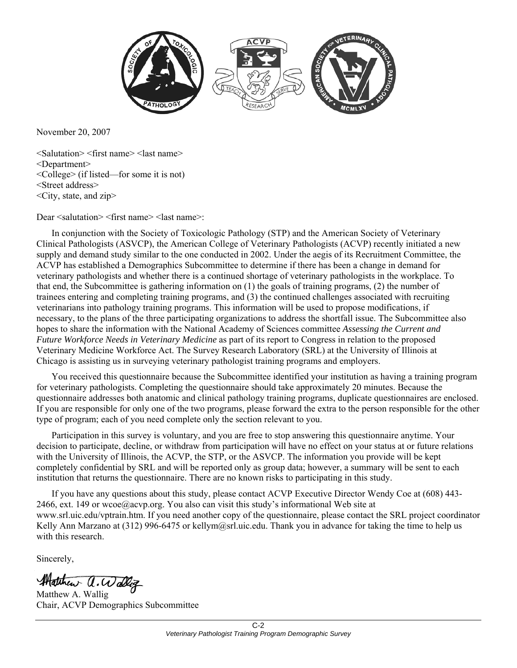

November 20, 2007

<Salutation> <first name> <last name> <Department> <College> (if listed—for some it is not) <Street address> <City, state, and zip>

Dear <salutation> <first name> <last name>:

In conjunction with the Society of Toxicologic Pathology (STP) and the American Society of Veterinary Clinical Pathologists (ASVCP), the American College of Veterinary Pathologists (ACVP) recently initiated a new supply and demand study similar to the one conducted in 2002. Under the aegis of its Recruitment Committee, the ACVP has established a Demographics Subcommittee to determine if there has been a change in demand for veterinary pathologists and whether there is a continued shortage of veterinary pathologists in the workplace. To that end, the Subcommittee is gathering information on (1) the goals of training programs, (2) the number of trainees entering and completing training programs, and (3) the continued challenges associated with recruiting veterinarians into pathology training programs. This information will be used to propose modifications, if necessary, to the plans of the three participating organizations to address the shortfall issue. The Subcommittee also hopes to share the information with the National Academy of Sciences committee *Assessing the Current and Future Workforce Needs in Veterinary Medicine* as part of its report to Congress in relation to the proposed Veterinary Medicine Workforce Act. The Survey Research Laboratory (SRL) at the University of Illinois at Chicago is assisting us in surveying veterinary pathologist training programs and employers.

You received this questionnaire because the Subcommittee identified your institution as having a training program for veterinary pathologists. Completing the questionnaire should take approximately 20 minutes. Because the questionnaire addresses both anatomic and clinical pathology training programs, duplicate questionnaires are enclosed. If you are responsible for only one of the two programs, please forward the extra to the person responsible for the other type of program; each of you need complete only the section relevant to you.

Participation in this survey is voluntary, and you are free to stop answering this questionnaire anytime. Your decision to participate, decline, or withdraw from participation will have no effect on your status at or future relations with the University of Illinois, the ACVP, the STP, or the ASVCP. The information you provide will be kept completely confidential by SRL and will be reported only as group data; however, a summary will be sent to each institution that returns the questionnaire. There are no known risks to participating in this study.

If you have any questions about this study, please contact ACVP Executive Director Wendy Coe at (608) 443- 2466, ext. 149 or wcoe@acvp.org. You also can visit this study's informational Web site at www.srl.uic.edu/vptrain.htm. If you need another copy of the questionnaire, please contact the SRL project coordinator Kelly Ann Marzano at (312) 996-6475 or kellym@srl.uic.edu. Thank you in advance for taking the time to help us with this research.

Sincerely,

Matthew a. Walliz

Matthew A. Wallig Chair, ACVP Demographics Subcommittee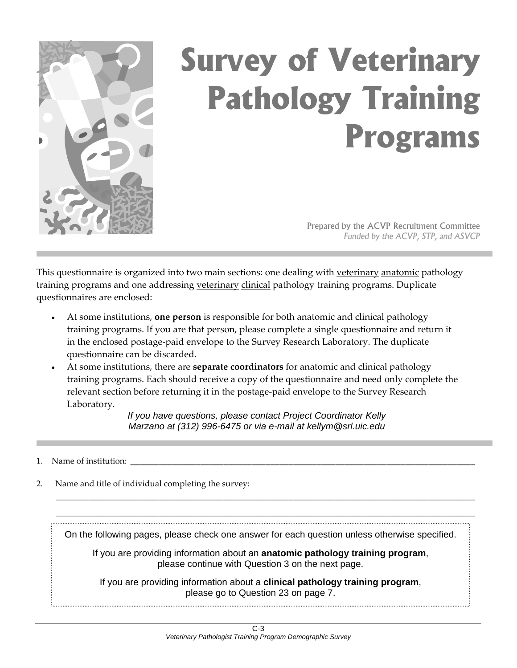

# **Survey of Veterinary Pathology Training Programs**

Prepared by the ACVP Recruitment Committee *Funded by the ACVP, STP, and ASVCP* 

This questionnaire is organized into two main sections: one dealing with veterinary anatomic pathology training programs and one addressing veterinary clinical pathology training programs. Duplicate questionnaires are enclosed:

- At some institutions, **one person** is responsible for both anatomic and clinical pathology training programs. If you are that person, please complete a single questionnaire and return it in the enclosed postage‐paid envelope to the Survey Research Laboratory. The duplicate questionnaire can be discarded.
- At some institutions, there are **separate coordinators** for anatomic and clinical pathology training programs. Each should receive a copy of the questionnaire and need only complete the relevant section before returning it in the postage‐paid envelope to the Survey Research Laboratory.

*If you have questions, please contact Project Coordinator Kelly Marzano at (312) 996-6475 or via e-mail at kellym@srl.uic.edu* 

#### 1. Name of institution:

2. Name and title of individual completing the survey:

On the following pages, please check one answer for each question unless otherwise specified.

\_\_\_\_\_\_\_\_\_\_\_\_\_\_\_\_\_\_\_\_\_\_\_\_\_\_\_\_\_\_\_\_\_\_\_\_\_\_\_\_\_\_\_\_\_\_\_\_\_\_\_\_\_\_\_\_\_\_\_\_\_\_\_\_\_\_\_\_\_\_\_\_\_\_\_\_\_\_\_\_\_\_\_\_\_\_\_\_\_\_ \_\_\_\_\_\_\_\_\_\_\_\_\_\_\_\_\_\_\_\_\_\_\_\_\_\_\_\_\_\_\_\_\_\_\_\_\_\_\_\_\_\_\_\_\_\_\_\_\_\_\_\_\_\_\_\_\_\_\_\_\_\_\_\_\_\_\_\_\_\_\_\_\_\_\_\_\_\_\_\_\_\_\_\_\_\_\_\_\_\_

If you are providing information about an **anatomic pathology training program**, please continue with Question 3 on the next page.

If you are providing information about a **clinical pathology training program**, please go to Question 23 on page 7.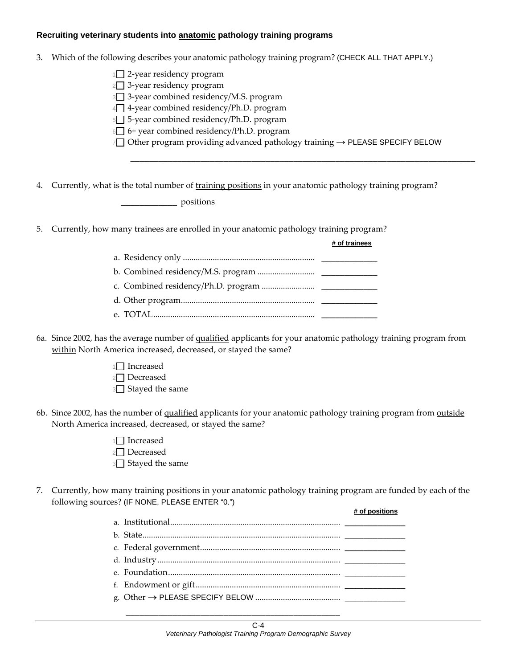#### **Recruiting veterinary students into anatomic pathology training programs**

- 3. Which of the following describes your anatomic pathology training program? (CHECK ALL THAT APPLY.)
	- $1$  2-year residency program
	- $2 \square$  3-year residency program
	- 3 3‐year combined residency/M.S. program
	- $4\Box$  4-year combined residency/Ph.D. program
	- 5 5‐year combined residency/Ph.D. program
	- $6\Box$  6+ year combined residency/Ph.D. program
	- <sup>7</sup> Other program providing advanced pathology training → PLEASE SPECIFY BELOW

\_\_\_\_\_\_\_\_\_\_\_\_\_\_\_\_\_\_\_\_\_\_\_\_\_\_\_\_\_\_\_\_\_\_\_\_\_\_\_\_\_\_\_\_\_\_\_\_\_\_\_\_\_\_\_\_\_\_\_\_\_\_\_\_\_\_\_\_\_\_\_\_\_\_

**# of trainees**

4. Currently, what is the total number of training positions in your anatomic pathology training program? \_\_\_\_\_\_\_\_\_\_\_\_ positions

5. Currently, how many trainees are enrolled in your anatomic pathology training program?

| # or trainees |
|---------------|
|               |
|               |
|               |
|               |
|               |

- 6a. Since 2002, has the average number of qualified applicants for your anatomic pathology training program from within North America increased, decreased, or stayed the same?
	- $1\Box$  <br> Increased 2<sup>2</sup>Decreased
	- 3<sup>3</sup> Stayed the same
- 6b. Since 2002, has the number of qualified applicants for your anatomic pathology training program from outside North America increased, decreased, or stayed the same?
	- $1$  Increased 2<sup>2</sup>Decreased **3** Stayed the same
- 7. Currently, how many training positions in your anatomic pathology training program are funded by each of the following sources? (IF NONE, PLEASE ENTER "0.") **# of positions**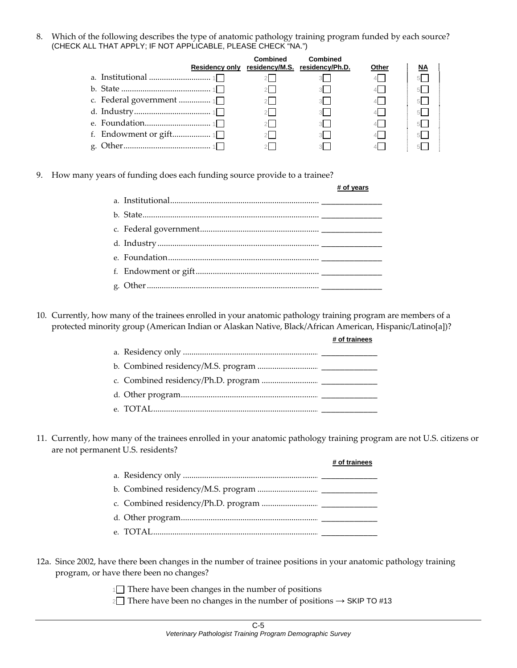8. Which of the following describes the type of anatomic pathology training program funded by each source? (CHECK ALL THAT APPLY; IF NOT APPLICABLE, PLEASE CHECK "NA.")

|  | Combined | Combined<br>Residency only residency/M.S. residency/Ph.D. | Other | <u>NA</u> |
|--|----------|-----------------------------------------------------------|-------|-----------|
|  |          |                                                           |       |           |
|  |          |                                                           |       |           |
|  |          | 3 <sup>1</sup>                                            |       | 51        |
|  |          | 3 <sup>1</sup>                                            |       |           |
|  |          | 3 <sup>1</sup>                                            |       | 51        |
|  |          | $\overline{\mathbf{3}}$                                   |       |           |
|  |          |                                                           |       |           |

9. How many years of funding does each funding source provide to a trainee?

|  | # of vears |
|--|------------|
|  |            |
|  |            |
|  |            |
|  |            |
|  |            |
|  |            |
|  |            |

10. Currently, how many of the trainees enrolled in your anatomic pathology training program are members of a protected minority group (American Indian or Alaskan Native, Black/African American, Hispanic/Latino[a])?

|  | # of trainees |
|--|---------------|
|  |               |
|  |               |
|  |               |
|  |               |
|  |               |

11. Currently, how many of the trainees enrolled in your anatomic pathology training program are not U.S. citizens or are not permanent U.S. residents?

|  | # of trainees |
|--|---------------|
|  |               |
|  |               |
|  |               |
|  |               |
|  |               |

- 12a. Since 2002, have there been changes in the number of trainee positions in your anatomic pathology training program, or have there been no changes?
	- $1 \square$  There have been changes in the number of positions

2□ There have been no changes in the number of positions  $\rightarrow$  SKIP TO #13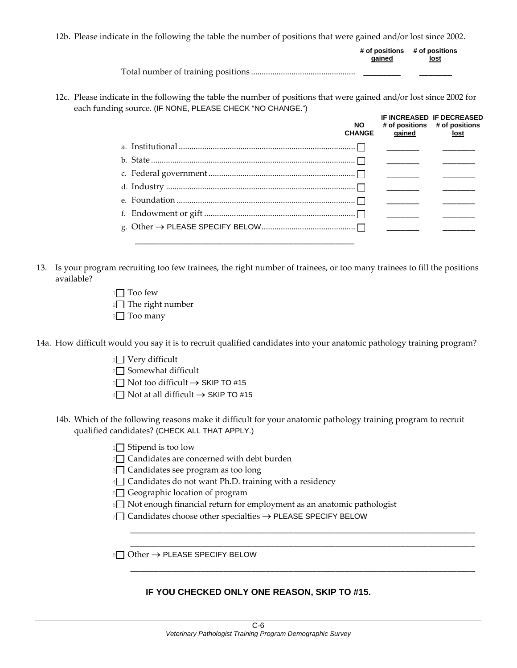12b. Please indicate in the following the table the number of positions that were gained and/or lost since 2002.

| aained | # of positions # of positions<br>lost |
|--------|---------------------------------------|
|        |                                       |

12c. Please indicate in the following the table the number of positions that were gained and/or lost since 2002 for each funding source. (IF NONE, PLEASE CHECK "NO CHANGE.")

| <b>NO</b><br><b>CHANGE</b> | qained                                                                                                               | IF INCREASED IF DECREASED<br># of positions # of positions<br>lost |
|----------------------------|----------------------------------------------------------------------------------------------------------------------|--------------------------------------------------------------------|
|                            |                                                                                                                      |                                                                    |
|                            | <u> 1990 - John Harry Barn, mars and de la partie de la partie de la partie de la partie de la partie de la part</u> |                                                                    |
|                            |                                                                                                                      |                                                                    |
|                            |                                                                                                                      |                                                                    |
|                            | <u> De Santa Company de la companya de la compa</u>                                                                  |                                                                    |
|                            |                                                                                                                      |                                                                    |
|                            |                                                                                                                      |                                                                    |
|                            |                                                                                                                      |                                                                    |

- 13. Is your program recruiting too few trainees, the right number of trainees, or too many trainees to fill the positions available?
	- $1 \Box$  Too few  $2 \Box$  The right number **3** Too many

14a. How difficult would you say it is to recruit qualified candidates into your anatomic pathology training program?

- $1$  Very difficult
- 2<sup>2</sup> Somewhat difficult
- 3 Not too difficult → SKIP TO #15
- 4 Not at all difficult → SKIP TO #15
- 14b. Which of the following reasons make it difficult for your anatomic pathology training program to recruit qualified candidates? (CHECK ALL THAT APPLY.)
	- $1 \square$  Stipend is too low
	- $2 \square$  Candidates are concerned with debt burden
	- 3<sup>3</sup> Candidates see program as too long
	- $4\Box$  Candidates do not want Ph.D. training with a residency
	- 5 Geographic location of program
	- 6<sup>1</sup> Not enough financial return for employment as an anatomic pathologist

\_\_\_\_\_\_\_\_\_\_\_\_\_\_\_\_\_\_\_\_\_\_\_\_\_\_\_\_\_\_\_\_\_\_\_\_\_\_\_\_\_\_\_\_\_\_\_\_\_\_\_\_\_\_\_\_\_\_\_\_\_\_\_\_\_\_\_\_\_\_\_\_\_\_ \_\_\_\_\_\_\_\_\_\_\_\_\_\_\_\_\_\_\_\_\_\_\_\_\_\_\_\_\_\_\_\_\_\_\_\_\_\_\_\_\_\_\_\_\_\_\_\_\_\_\_\_\_\_\_\_\_\_\_\_\_\_\_\_\_\_\_\_\_\_\_\_\_\_

\_\_\_\_\_\_\_\_\_\_\_\_\_\_\_\_\_\_\_\_\_\_\_\_\_\_\_\_\_\_\_\_\_\_\_\_\_\_\_\_\_\_\_\_\_\_\_\_\_\_\_\_\_\_\_\_\_\_\_\_\_\_\_\_\_\_\_\_\_\_\_\_\_\_

<sup>7</sup> Candidates choose other specialties → PLEASE SPECIFY BELOW

 $8\Box$  Other  $\rightarrow$  PLEASE SPECIFY BELOW

#### **IF YOU CHECKED ONLY ONE REASON, SKIP TO #15.**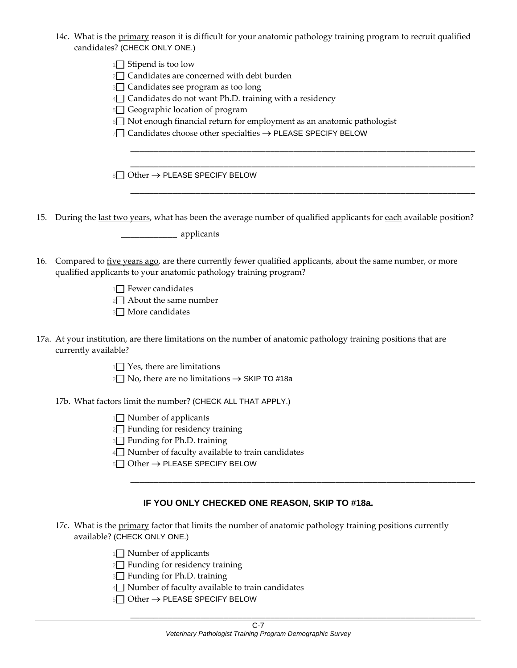14c. What is the primary reason it is difficult for your anatomic pathology training program to recruit qualified

| candidates? (CHECK ONLY ONE.)                                                                                                                                                                                                                                                                                                                                                                                                         |
|---------------------------------------------------------------------------------------------------------------------------------------------------------------------------------------------------------------------------------------------------------------------------------------------------------------------------------------------------------------------------------------------------------------------------------------|
| 1 <sup>1</sup> Stipend is too low<br>2□ Candidates are concerned with debt burden<br>3 <sup>1</sup> Candidates see program as too long<br>4 <sup>1</sup> Candidates do not want Ph.D. training with a residency<br>5□ Geographic location of program<br>6 <sup>1</sup> Not enough financial return for employment as an anatomic pathologist<br>7 <sup>1</sup> Candidates choose other specialties $\rightarrow$ PLEASE SPECIFY BELOW |
| 8 Other → PLEASE SPECIFY BELOW                                                                                                                                                                                                                                                                                                                                                                                                        |
| 15. During the last two years, what has been the average number of qualified applicants for each available position?                                                                                                                                                                                                                                                                                                                  |
| 16. Compared to five years ago, are there currently fewer qualified applicants, about the same number, or more<br>qualified applicants to your anatomic pathology training program?<br>$1\Box$ Fewer candidates<br>$2 \Box$ About the same number<br>3 <sup>1</sup> More candidates                                                                                                                                                   |
| 17a. At your institution, are there limitations on the number of anatomic pathology training positions that are<br>currently available?<br>$1\Box$ Yes, there are limitations<br>$2□$ No, there are no limitations $→$ SKIP TO #18a                                                                                                                                                                                                   |
| 17b. What factors limit the number? (CHECK ALL THAT APPLY.)<br>1 <sup>1</sup> Number of applicants<br>2 <sup>1</sup> Funding for residency training<br><sup>3</sup> Funding for Ph.D. training<br>4 <sup>1</sup> Number of faculty available to train candidates<br>5 Other → PLEASE SPECIFY BELOW                                                                                                                                    |

#### **IF YOU ONLY CHECKED ONE REASON, SKIP TO #18a.**

17c. What is the primary factor that limits the number of anatomic pathology training positions currently available? (CHECK ONLY ONE.)

1<sup>1</sup> Number of applicants

 $2 \Box$  Funding for residency training

<sup>3</sup> Funding for Ph.D. training

4 Number of faculty available to train candidates

<sup>5</sup> Other → PLEASE SPECIFY BELOW

\_\_\_\_\_\_\_\_\_\_\_\_\_\_\_\_\_\_\_\_\_\_\_\_\_\_\_\_\_\_\_\_\_\_\_\_\_\_\_\_\_\_\_\_\_\_\_\_\_\_\_\_\_\_\_\_\_\_\_\_\_\_\_\_\_\_\_\_\_\_\_\_\_\_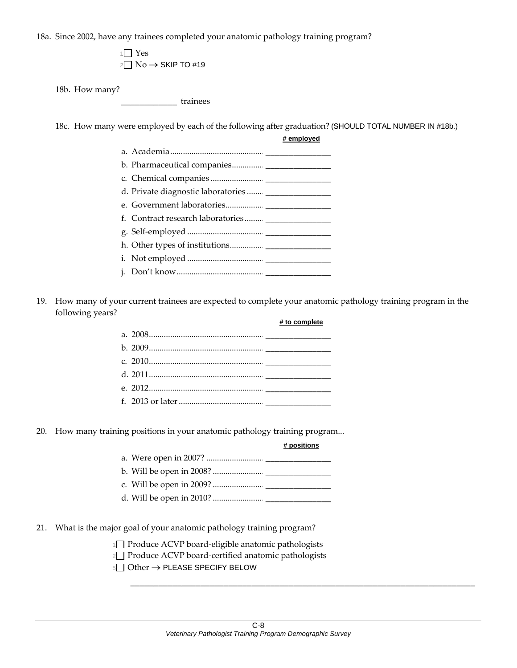18a. Since 2002, have any trainees completed your anatomic pathology training program?

 $1$  Yes  $2 \Box$  No  $\rightarrow$  SKIP TO #19

18b. How many?

\_\_\_\_\_\_\_\_\_\_\_\_ trainees

18c. How many were employed by each of the following after graduation? (SHOULD TOTAL NUMBER IN #18b.)

**# employed**

19. How many of your current trainees are expected to complete your anatomic pathology training program in the following years? **# to complete**

20. How many training positions in your anatomic pathology training program...

#### **# positions**

\_\_\_\_\_\_\_\_\_\_\_\_\_\_\_\_\_\_\_\_\_\_\_\_\_\_\_\_\_\_\_\_\_\_\_\_\_\_\_\_\_\_\_\_\_\_\_\_\_\_\_\_\_\_\_\_\_\_\_\_\_\_\_\_\_\_\_\_\_\_\_\_\_\_

- 21. What is the major goal of your anatomic pathology training program?
	- 1 Produce ACVP board‐eligible anatomic pathologists
	- 2□ Produce ACVP board-certified anatomic pathologists
	- 5 Other → PLEASE SPECIFY BELOW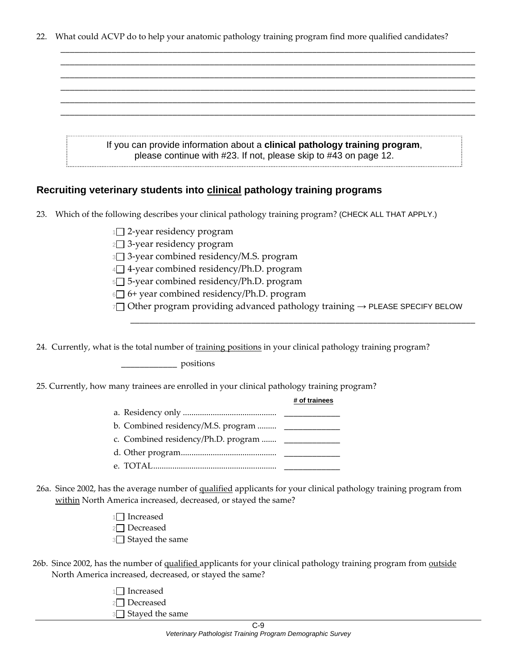22. What could ACVP do to help your anatomic pathology training program find more qualified candidates?

| If you can provide information about a clinical pathology training program, |
|-----------------------------------------------------------------------------|
| please continue with #23. If not, please skip to #43 on page 12.            |

#### **Recruiting veterinary students into clinical pathology training programs**

- 23. Which of the following describes your clinical pathology training program? (CHECK ALL THAT APPLY.)
	- 1□ 2-year residency program
	- 2□ 3-year residency program
	- <sup>3</sup> 3‐year combined residency/M.S. program
	- 4<sup>1</sup> 4-year combined residency/Ph.D. program
	- <sup>5</sup> 5‐year combined residency/Ph.D. program
	- $6\Box$  6+ year combined residency/Ph.D. program
	- 7□ Other program providing advanced pathology training  $\rightarrow$  PLEASE SPECIFY BELOW

\_\_\_\_\_\_\_\_\_\_\_\_\_\_\_\_\_\_\_\_\_\_\_\_\_\_\_\_\_\_\_\_\_\_\_\_\_\_\_\_\_\_\_\_\_\_\_\_\_\_\_\_\_\_\_\_\_\_\_\_\_\_\_\_\_\_\_\_\_\_\_\_\_\_

24. Currently, what is the total number of training positions in your clinical pathology training program?

\_\_\_\_\_\_\_\_\_\_\_\_ positions

25. Currently, how many trainees are enrolled in your clinical pathology training program?

| ow many trainees are emoned in your emnear patriology training program |               |
|------------------------------------------------------------------------|---------------|
|                                                                        | # of trainees |
|                                                                        |               |
| b. Combined residency/M.S. program $\qquad \qquad$                     |               |
| c. Combined residency/Ph.D. program  ________________                  |               |
|                                                                        |               |
|                                                                        |               |
|                                                                        |               |

26a. Since 2002, has the average number of qualified applicants for your clinical pathology training program from within North America increased, decreased, or stayed the same?

> $1$  Increased 2<sup>2</sup>Decreased <sup>3</sup> Stayed the same

26b. Since 2002, has the number of qualified applicants for your clinical pathology training program from outside North America increased, decreased, or stayed the same?

| 2 Decreased<br>3 <sup>3</sup> Stayed the same | 1 Increased |
|-----------------------------------------------|-------------|
|                                               |             |
|                                               |             |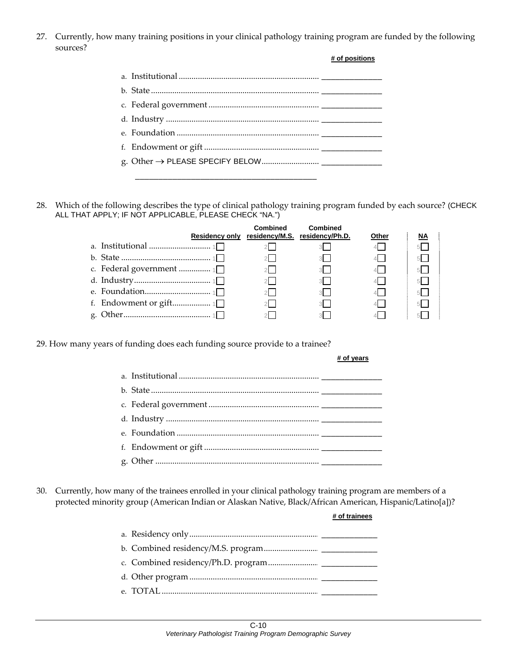27. Currently, how many training positions in your clinical pathology training program are funded by the following sources?

| # of positions |
|----------------|
|                |
|                |
|                |
|                |
|                |
|                |
|                |
|                |

28. Which of the following describes the type of clinical pathology training program funded by each source? (CHECK ALL THAT APPLY; IF NOT APPLICABLE, PLEASE CHECK "NA.")

|  | Combined | Combined<br>Residency only residency/M.S. residency/Ph.D. | Other            | ΝA |
|--|----------|-----------------------------------------------------------|------------------|----|
|  |          |                                                           |                  |    |
|  |          | 3 <sup>1</sup>                                            | $4\vert$ $\vert$ |    |
|  |          | $3-1$                                                     |                  |    |
|  |          | 3 <sup>1</sup>                                            | 4                |    |
|  |          | 3.                                                        |                  |    |
|  |          | 3 <sup>1</sup>                                            |                  |    |
|  |          |                                                           |                  |    |

29. How many years of funding does each funding source provide to a trainee?

**# of trainees**

30. Currently, how many of the trainees enrolled in your clinical pathology training program are members of a protected minority group (American Indian or Alaskan Native, Black/African American, Hispanic/Latino[a])?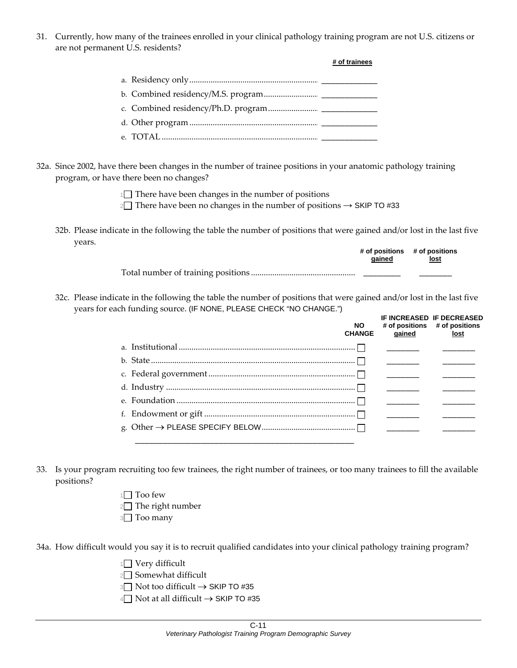31. Currently, how many of the trainees enrolled in your clinical pathology training program are not U.S. citizens or are not permanent U.S. residents?

|  | # of trainees |
|--|---------------|
|  |               |
|  |               |
|  |               |
|  |               |
|  |               |

32a. Since 2002, have there been changes in the number of trainee positions in your anatomic pathology training program, or have there been no changes?

 $1 \square$  There have been changes in the number of positions

2 There have been no changes in the number of positions  $\rightarrow$  SKIP TO #33

32b. Please indicate in the following the table the number of positions that were gained and/or lost in the last five years.

| aained | # of positions # of positions<br>lost |  |
|--------|---------------------------------------|--|
|        |                                       |  |

32c. Please indicate in the following the table the number of positions that were gained and/or lost in the last five years for each funding source. (IF NONE, PLEASE CHECK "NO CHANGE.")

| <b>NO</b><br><b>CHANGE</b> | qained                                       | <b>IF INCREASED IF DECREASED</b><br># of positions # of positions<br>lost |
|----------------------------|----------------------------------------------|---------------------------------------------------------------------------|
|                            |                                              |                                                                           |
|                            |                                              |                                                                           |
|                            |                                              |                                                                           |
|                            |                                              |                                                                           |
|                            |                                              |                                                                           |
|                            | <u> 1989 - Andrea Andrew Maria (b. 1989)</u> |                                                                           |
|                            |                                              |                                                                           |
|                            |                                              |                                                                           |

- 33. Is your program recruiting too few trainees, the right number of trainees, or too many trainees to fill the available positions?
	- $1 \square$  Too few  $2 \Box$  The right number
	- **3** Too many

34a. How difficult would you say it is to recruit qualified candidates into your clinical pathology training program?

- $1$  Very difficult
- $2 \Box$  Somewhat difficult
- 3 Not too difficult → SKIP TO #35
- 4 Not at all difficult → SKIP TO #35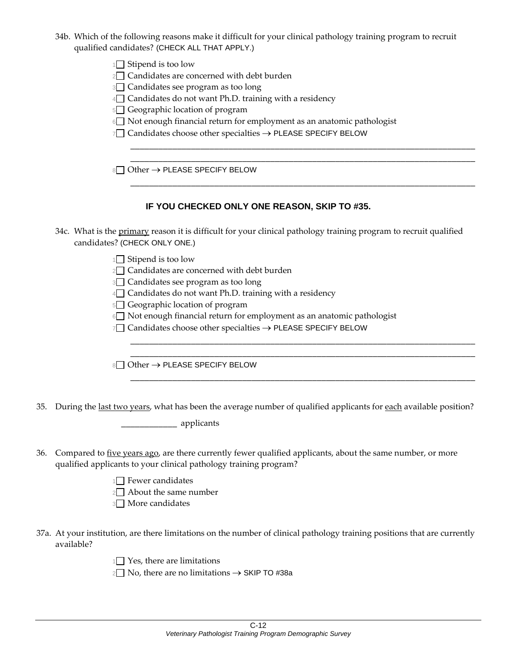- 34b. Which of the following reasons make it difficult for your clinical pathology training program to recruit qualified candidates? (CHECK ALL THAT APPLY.)
	- $1 \cap$  Stipend is too low
	- $2 \square$  Candidates are concerned with debt burden
	- 3<sup>3</sup> Candidates see program as too long
	- $4\Box$  Candidates do not want Ph.D. training with a residency
	- 5 Geographic location of program
	- 6<sup>1</sup> Not enough financial return for employment as an anatomic pathologist

\_\_\_\_\_\_\_\_\_\_\_\_\_\_\_\_\_\_\_\_\_\_\_\_\_\_\_\_\_\_\_\_\_\_\_\_\_\_\_\_\_\_\_\_\_\_\_\_\_\_\_\_\_\_\_\_\_\_\_\_\_\_\_\_\_\_\_\_\_\_\_\_\_\_ \_\_\_\_\_\_\_\_\_\_\_\_\_\_\_\_\_\_\_\_\_\_\_\_\_\_\_\_\_\_\_\_\_\_\_\_\_\_\_\_\_\_\_\_\_\_\_\_\_\_\_\_\_\_\_\_\_\_\_\_\_\_\_\_\_\_\_\_\_\_\_\_\_\_

\_\_\_\_\_\_\_\_\_\_\_\_\_\_\_\_\_\_\_\_\_\_\_\_\_\_\_\_\_\_\_\_\_\_\_\_\_\_\_\_\_\_\_\_\_\_\_\_\_\_\_\_\_\_\_\_\_\_\_\_\_\_\_\_\_\_\_\_\_\_\_\_\_\_

\_\_\_\_\_\_\_\_\_\_\_\_\_\_\_\_\_\_\_\_\_\_\_\_\_\_\_\_\_\_\_\_\_\_\_\_\_\_\_\_\_\_\_\_\_\_\_\_\_\_\_\_\_\_\_\_\_\_\_\_\_\_\_\_\_\_\_\_\_\_\_\_\_\_ \_\_\_\_\_\_\_\_\_\_\_\_\_\_\_\_\_\_\_\_\_\_\_\_\_\_\_\_\_\_\_\_\_\_\_\_\_\_\_\_\_\_\_\_\_\_\_\_\_\_\_\_\_\_\_\_\_\_\_\_\_\_\_\_\_\_\_\_\_\_\_\_\_\_

\_\_\_\_\_\_\_\_\_\_\_\_\_\_\_\_\_\_\_\_\_\_\_\_\_\_\_\_\_\_\_\_\_\_\_\_\_\_\_\_\_\_\_\_\_\_\_\_\_\_\_\_\_\_\_\_\_\_\_\_\_\_\_\_\_\_\_\_\_\_\_\_\_\_

7□ Candidates choose other specialties → PLEASE SPECIFY BELOW

8□ Other → PLEASE SPECIFY BELOW

#### **IF YOU CHECKED ONLY ONE REASON, SKIP TO #35.**

- 34c. What is the primary reason it is difficult for your clinical pathology training program to recruit qualified candidates? (CHECK ONLY ONE.)
	- 1<sup>1</sup> Stipend is too low
	- $2 \nabla$  Candidates are concerned with debt burden
	- 3<sup>3</sup> Candidates see program as too long
	- $4\Box$  Candidates do not want Ph.D. training with a residency
	- 5 Geographic location of program
	- $6$  Not enough financial return for employment as an anatomic pathologist
	- 7□ Candidates choose other specialties → PLEASE SPECIFY BELOW

 $8\Box$  Other  $\rightarrow$  PLEASE SPECIFY BELOW

35. During the last two years, what has been the average number of qualified applicants for each available position?

\_\_\_\_\_\_\_\_\_\_\_\_ applicants

- 36. Compared to five years ago, are there currently fewer qualified applicants, about the same number, or more qualified applicants to your clinical pathology training program?
	- $1 \n\bigcap$  Fewer candidates
	- $2 \Box$  About the same number
	- 3<sup>1</sup> More candidates
- 37a. At your institution, are there limitations on the number of clinical pathology training positions that are currently available?

 $1 \n\bigcap$  Yes, there are limitations

 $2 \square$  No, there are no limitations  $\rightarrow$  SKIP TO #38a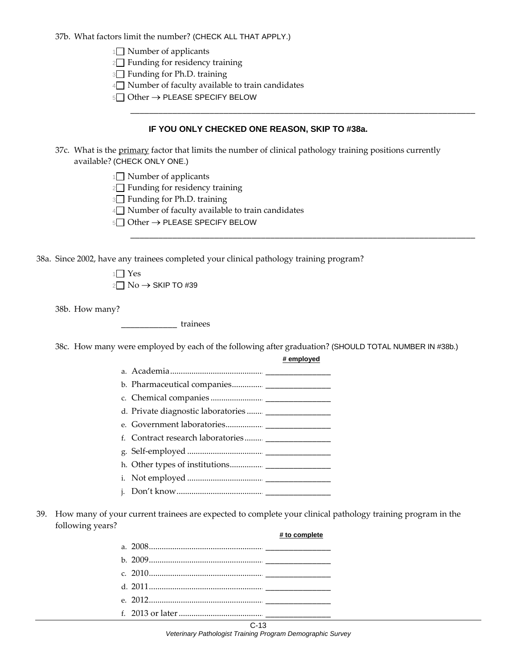37b. What factors limit the number? (CHECK ALL THAT APPLY.)

 $1 \square$  Number of applicants

 $2\Box$  Funding for residency training

3<sup>3</sup> Funding for Ph.D. training

 $4\Box$  Number of faculty available to train candidates

5□ Other → PLEASE SPECIFY BELOW

#### **IF YOU ONLY CHECKED ONE REASON, SKIP TO #38a.**

\_\_\_\_\_\_\_\_\_\_\_\_\_\_\_\_\_\_\_\_\_\_\_\_\_\_\_\_\_\_\_\_\_\_\_\_\_\_\_\_\_\_\_\_\_\_\_\_\_\_\_\_\_\_\_\_\_\_\_\_\_\_\_\_\_\_\_\_\_\_\_\_\_\_

\_\_\_\_\_\_\_\_\_\_\_\_\_\_\_\_\_\_\_\_\_\_\_\_\_\_\_\_\_\_\_\_\_\_\_\_\_\_\_\_\_\_\_\_\_\_\_\_\_\_\_\_\_\_\_\_\_\_\_\_\_\_\_\_\_\_\_\_\_\_\_\_\_\_

**# employed**

**# to complete**

- 37c. What is the primary factor that limits the number of clinical pathology training positions currently available? (CHECK ONLY ONE.)
	- $1 \square$  Number of applicants
	- $2 \Box$  Funding for residency training
	- 3<sup>3</sup> Funding for Ph.D. training
	- $4\Box$  Number of faculty available to train candidates
	- 5□ Other → PLEASE SPECIFY BELOW

38a. Since 2002, have any trainees completed your clinical pathology training program?

 $1 \square$  Yes  $2 \square$  No  $\rightarrow$  SKIP TO #39

38b. How many?

\_\_\_\_\_\_\_\_\_\_\_\_ trainees

38c. How many were employed by each of the following after graduation? (SHOULD TOTAL NUMBER IN #38b.)

| b. Pharmaceutical companies |  |
|-----------------------------|--|

- c. Chemical companies ......................... \_\_\_\_\_\_\_\_\_\_\_\_\_\_
- d. Private diagnostic laboratories ........
- e. Government laboratories.................. \_\_\_\_\_\_\_\_\_\_\_\_\_\_
- f. Contract research laboratories.........
- g. Self‐employed .................................... \_\_\_\_\_\_\_\_\_\_\_\_\_\_
- h. Other types of institutions................ \_\_\_\_\_\_\_\_\_\_\_\_\_\_
- i. Not employed .................................... \_\_\_\_\_\_\_\_\_\_\_\_\_\_
- j. Don't know......................................... \_\_\_\_\_\_\_\_\_\_\_\_\_\_
- 39. How many of your current trainees are expected to complete your clinical pathology training program in the following years?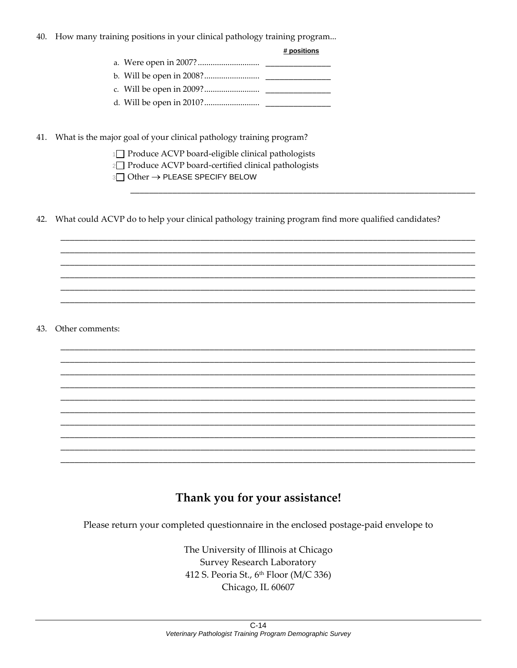40. How many training positions in your clinical pathology training program...

| positions |  |
|-----------|--|
|           |  |

 $\boldsymbol{H}$ 

41. What is the major goal of your clinical pathology training program?

1<sup>1</sup> Produce ACVP board-eligible clinical pathologists

2<sup>1</sup> Produce ACVP board-certified clinical pathologists

3□ Other → PLEASE SPECIFY BELOW

42. What could ACVP do to help your clinical pathology training program find more qualified candidates?

43. Other comments:

## Thank you for your assistance!

Please return your completed questionnaire in the enclosed postage-paid envelope to

The University of Illinois at Chicago **Survey Research Laboratory** 412 S. Peoria St., 6th Floor (M/C 336) Chicago, IL 60607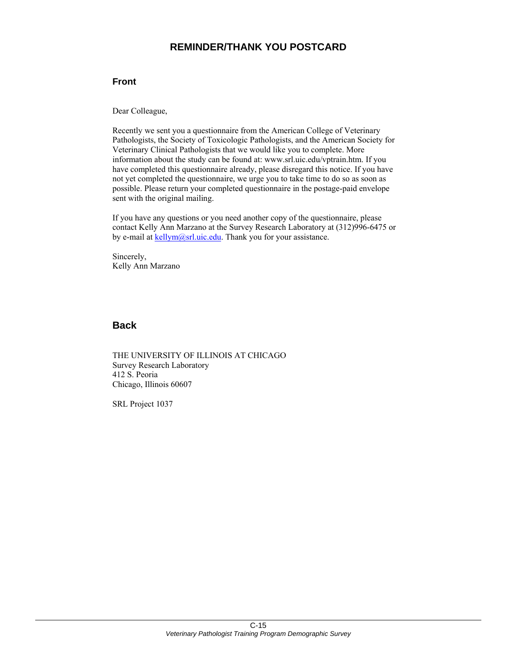## **REMINDER/THANK YOU POSTCARD**

#### **Front**

Dear Colleague,

Recently we sent you a questionnaire from the American College of Veterinary Pathologists, the Society of Toxicologic Pathologists, and the American Society for Veterinary Clinical Pathologists that we would like you to complete. More information about the study can be found at: www.srl.uic.edu/vptrain.htm. If you have completed this questionnaire already, please disregard this notice. If you have not yet completed the questionnaire, we urge you to take time to do so as soon as possible. Please return your completed questionnaire in the postage-paid envelope sent with the original mailing.

If you have any questions or you need another copy of the questionnaire, please contact Kelly Ann Marzano at the Survey Research Laboratory at (312)996-6475 or by e-mail at kellym@srl.uic.edu. Thank you for your assistance.

Sincerely, Kelly Ann Marzano

#### **Back**

THE UNIVERSITY OF ILLINOIS AT CHICAGO Survey Research Laboratory 412 S. Peoria Chicago, Illinois 60607

SRL Project 1037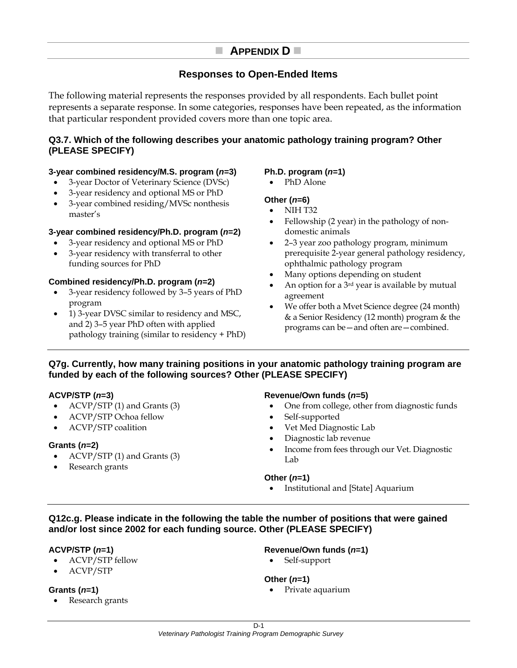## **APPENDIX D**

## **Responses to Open-Ended Items**

The following material represents the responses provided by all respondents. Each bullet point represents a separate response. In some categories, responses have been repeated, as the information that particular respondent provided covers more than one topic area.

#### **Q3.7. Which of the following describes your anatomic pathology training program? Other (PLEASE SPECIFY)**

#### **3-year combined residency/M.S. program (***n***=3)**

- 3-year Doctor of Veterinary Science (DVSc)
- 3-year residency and optional MS or PhD
- 3-year combined residing/MVSc nonthesis master's

#### **3-year combined residency/Ph.D. program (***n***=2)**

- 3-year residency and optional MS or PhD
- 3-year residency with transferral to other funding sources for PhD

#### **Combined residency/Ph.D. program (***n***=2)**

- 3-year residency followed by 3–5 years of PhD program
- 1) 3-year DVSC similar to residency and MSC, and 2) 3–5 year PhD often with applied pathology training (similar to residency + PhD)

#### **Ph.D. program (***n***=1)**

• PhD Alone

#### **Other (***n***=6)**

- NIH T32
- Fellowship (2 year) in the pathology of nondomestic animals
- 2–3 year zoo pathology program, minimum prerequisite 2-year general pathology residency, ophthalmic pathology program
- Many options depending on student
- An option for a 3rd year is available by mutual agreement
- We offer both a Mvet Science degree (24 month) & a Senior Residency (12 month) program & the programs can be—and often are—combined.

#### **Q7g. Currently, how many training positions in your anatomic pathology training program are funded by each of the following sources? Other (PLEASE SPECIFY)**

#### **ACVP/STP (***n***=3)**

- ACVP/STP (1) and Grants (3)
- ACVP/STP Ochoa fellow
- ACVP/STP coalition

#### **Grants (***n***=2)**

- ACVP/STP (1) and Grants (3)
- Research grants

#### **Revenue/Own funds (***n***=5)**

- One from college, other from diagnostic funds
- Self-supported
- Vet Med Diagnostic Lab
- Diagnostic lab revenue
- Income from fees through our Vet. Diagnostic Lab

#### **Other (***n***=1)**

• Institutional and [State] Aquarium

#### **Q12c.g. Please indicate in the following the table the number of positions that were gained and/or lost since 2002 for each funding source. Other (PLEASE SPECIFY)**

#### **ACVP/STP (***n***=1)**

- ACVP/STP fellow
- ACVP/STP

#### **Grants (***n***=1)**

Research grants

#### **Revenue/Own funds (***n***=1)**

• Self-support

#### **Other (***n***=1)**

Private aquarium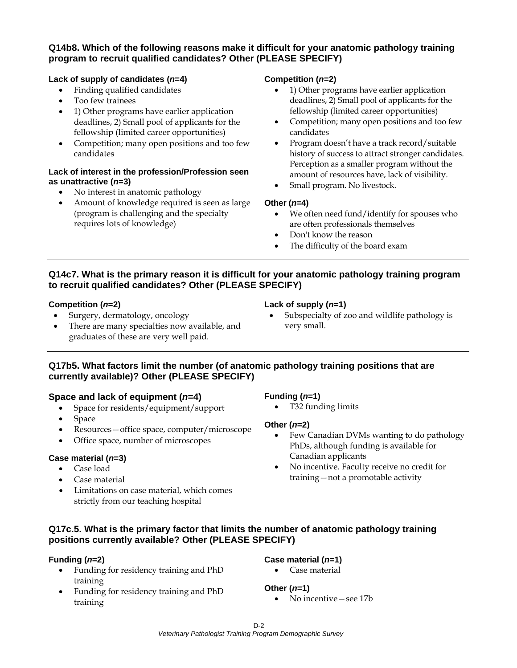#### **Q14b8. Which of the following reasons make it difficult for your anatomic pathology training program to recruit qualified candidates? Other (PLEASE SPECIFY)**

#### **Lack of supply of candidates (***n***=4)**

- Finding qualified candidates
- Too few trainees
- 1) Other programs have earlier application deadlines, 2) Small pool of applicants for the fellowship (limited career opportunities)
- Competition; many open positions and too few candidates

#### **Lack of interest in the profession/Profession seen as unattractive (***n***=3)**

- No interest in anatomic pathology
- Amount of knowledge required is seen as large (program is challenging and the specialty requires lots of knowledge)

#### **Competition (***n***=2)**

- 1) Other programs have earlier application deadlines, 2) Small pool of applicants for the fellowship (limited career opportunities)
- Competition; many open positions and too few candidates
- Program doesn't have a track record/suitable history of success to attract stronger candidates. Perception as a smaller program without the amount of resources have, lack of visibility.
- Small program. No livestock.

#### **Other (***n***=4)**

- We often need fund/identify for spouses who are often professionals themselves
- Don't know the reason
- The difficulty of the board exam

#### **Q14c7. What is the primary reason it is difficult for your anatomic pathology training program to recruit qualified candidates? Other (PLEASE SPECIFY)**

#### **Competition (***n***=2)**

- Surgery, dermatology, oncology
- There are many specialties now available, and graduates of these are very well paid.

#### **Lack of supply (***n***=1)**

• Subspecialty of zoo and wildlife pathology is very small.

#### **Q17b5. What factors limit the number (of anatomic pathology training positions that are currently available)? Other (PLEASE SPECIFY)**

#### **Space and lack of equipment (***n***=4)**

- Space for residents/equipment/support
- Space
- Resources—office space, computer/microscope
- Office space, number of microscopes

#### **Case material (***n***=3)**

- Case load
- Case material
- Limitations on case material, which comes strictly from our teaching hospital

#### **Funding (***n***=1)**

• T32 funding limits

#### **Other (***n***=2)**

- Few Canadian DVMs wanting to do pathology PhDs, although funding is available for Canadian applicants
- No incentive. Faculty receive no credit for training—not a promotable activity

#### **Q17c.5. What is the primary factor that limits the number of anatomic pathology training positions currently available? Other (PLEASE SPECIFY)**

#### **Funding (***n***=2)**

- Funding for residency training and PhD training
- Funding for residency training and PhD training

#### **Case material (***n***=1)**

• Case material

#### **Other (***n***=1)**

• No incentive — see 17b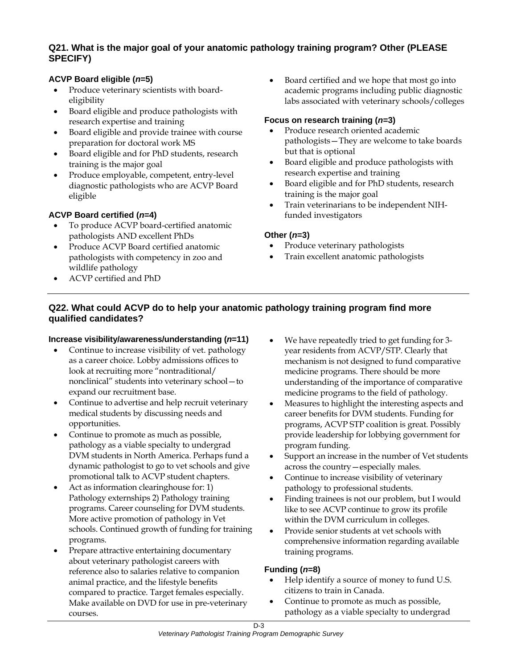#### **Q21. What is the major goal of your anatomic pathology training program? Other (PLEASE SPECIFY)**

#### **ACVP Board eligible (***n***=5)**

- Produce veterinary scientists with boardeligibility
- Board eligible and produce pathologists with research expertise and training
- Board eligible and provide trainee with course preparation for doctoral work MS
- Board eligible and for PhD students, research training is the major goal
- Produce employable, competent, entry-level diagnostic pathologists who are ACVP Board eligible

#### **ACVP Board certified (***n***=4)**

- To produce ACVP board-certified anatomic pathologists AND excellent PhDs
- Produce ACVP Board certified anatomic pathologists with competency in zoo and wildlife pathology
- ACVP certified and PhD

• Board certified and we hope that most go into academic programs including public diagnostic labs associated with veterinary schools/colleges

#### **Focus on research training (***n***=3)**

- Produce research oriented academic pathologists—They are welcome to take boards but that is optional
- Board eligible and produce pathologists with research expertise and training
- Board eligible and for PhD students, research training is the major goal
- Train veterinarians to be independent NIHfunded investigators

#### **Other (***n***=3)**

- Produce veterinary pathologists
- Train excellent anatomic pathologists

#### **Q22. What could ACVP do to help your anatomic pathology training program find more qualified candidates?**

#### **Increase visibility/awareness/understanding (***n***=11)**

- Continue to increase visibility of vet. pathology as a career choice. Lobby admissions offices to look at recruiting more "nontraditional/ nonclinical" students into veterinary school—to expand our recruitment base.
- Continue to advertise and help recruit veterinary medical students by discussing needs and opportunities.
- Continue to promote as much as possible, pathology as a viable specialty to undergrad DVM students in North America. Perhaps fund a dynamic pathologist to go to vet schools and give promotional talk to ACVP student chapters.
- Act as information clearinghouse for: 1) Pathology externships 2) Pathology training programs. Career counseling for DVM students. More active promotion of pathology in Vet schools. Continued growth of funding for training programs.
- Prepare attractive entertaining documentary about veterinary pathologist careers with reference also to salaries relative to companion animal practice, and the lifestyle benefits compared to practice. Target females especially. Make available on DVD for use in pre-veterinary courses.
- We have repeatedly tried to get funding for 3year residents from ACVP/STP. Clearly that mechanism is not designed to fund comparative medicine programs. There should be more understanding of the importance of comparative medicine programs to the field of pathology.
- Measures to highlight the interesting aspects and career benefits for DVM students. Funding for programs, ACVP STP coalition is great. Possibly provide leadership for lobbying government for program funding.
- Support an increase in the number of Vet students across the country—especially males.
- Continue to increase visibility of veterinary pathology to professional students.
- Finding trainees is not our problem, but I would like to see ACVP continue to grow its profile within the DVM curriculum in colleges.
- Provide senior students at vet schools with comprehensive information regarding available training programs.

#### **Funding (***n***=8)**

- Help identify a source of money to fund U.S. citizens to train in Canada.
- Continue to promote as much as possible, pathology as a viable specialty to undergrad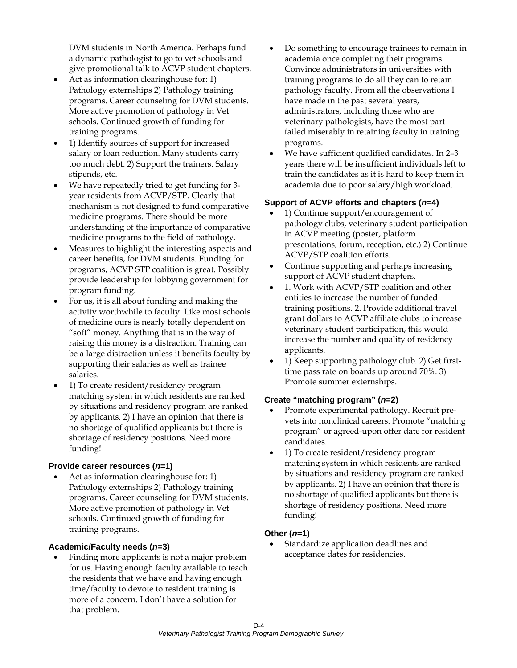DVM students in North America. Perhaps fund a dynamic pathologist to go to vet schools and give promotional talk to ACVP student chapters.

- Act as information clearinghouse for: 1) Pathology externships 2) Pathology training programs. Career counseling for DVM students. More active promotion of pathology in Vet schools. Continued growth of funding for training programs.
- 1) Identify sources of support for increased salary or loan reduction. Many students carry too much debt. 2) Support the trainers. Salary stipends, etc.
- We have repeatedly tried to get funding for 3 year residents from ACVP/STP. Clearly that mechanism is not designed to fund comparative medicine programs. There should be more understanding of the importance of comparative medicine programs to the field of pathology.
- Measures to highlight the interesting aspects and career benefits, for DVM students. Funding for programs, ACVP STP coalition is great. Possibly provide leadership for lobbying government for program funding.
- For us, it is all about funding and making the activity worthwhile to faculty. Like most schools of medicine ours is nearly totally dependent on "soft" money. Anything that is in the way of raising this money is a distraction. Training can be a large distraction unless it benefits faculty by supporting their salaries as well as trainee salaries.
- 1) To create resident/residency program matching system in which residents are ranked by situations and residency program are ranked by applicants. 2) I have an opinion that there is no shortage of qualified applicants but there is shortage of residency positions. Need more funding!

#### **Provide career resources (***n***=1)**

Act as information clearinghouse for: 1) Pathology externships 2) Pathology training programs. Career counseling for DVM students. More active promotion of pathology in Vet schools. Continued growth of funding for training programs.

#### **Academic/Faculty needs (***n***=3)**

• Finding more applicants is not a major problem for us. Having enough faculty available to teach the residents that we have and having enough time/faculty to devote to resident training is more of a concern. I don't have a solution for that problem.

- Do something to encourage trainees to remain in academia once completing their programs. Convince administrators in universities with training programs to do all they can to retain pathology faculty. From all the observations I have made in the past several years, administrators, including those who are veterinary pathologists, have the most part failed miserably in retaining faculty in training programs.
- We have sufficient qualified candidates. In 2–3 years there will be insufficient individuals left to train the candidates as it is hard to keep them in academia due to poor salary/high workload.

#### **Support of ACVP efforts and chapters (***n***=4)**

- 1) Continue support/encouragement of pathology clubs, veterinary student participation in ACVP meeting (poster, platform presentations, forum, reception, etc.) 2) Continue ACVP/STP coalition efforts.
- Continue supporting and perhaps increasing support of ACVP student chapters.
- 1. Work with ACVP/STP coalition and other entities to increase the number of funded training positions. 2. Provide additional travel grant dollars to ACVP affiliate clubs to increase veterinary student participation, this would increase the number and quality of residency applicants.
- 1) Keep supporting pathology club. 2) Get firsttime pass rate on boards up around 70%. 3) Promote summer externships.

#### **Create "matching program" (***n***=2)**

- Promote experimental pathology. Recruit prevets into nonclinical careers. Promote "matching program" or agreed-upon offer date for resident candidates.
- 1) To create resident/residency program matching system in which residents are ranked by situations and residency program are ranked by applicants. 2) I have an opinion that there is no shortage of qualified applicants but there is shortage of residency positions. Need more funding!

#### **Other (***n***=1)**

• Standardize application deadlines and acceptance dates for residencies.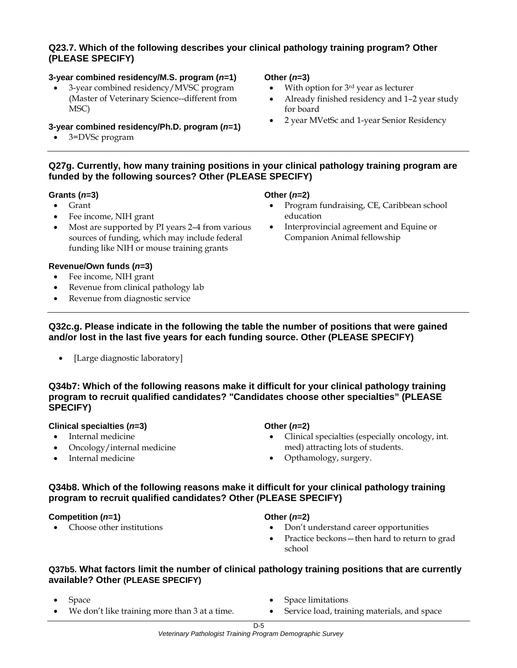#### **Q23.7. Which of the following describes your clinical pathology training program? Other (PLEASE SPECIFY)**

#### **3-year combined residency/M.S. program (***n***=1)**

• 3-year combined residency/MVSC program (Master of Veterinary Science--different from MSC)

#### **3-year combined residency/Ph.D. program (***n***=1)**

• 3=DVSc program

#### **Other (***n***=3)**

- With option for  $3<sup>rd</sup>$  year as lecturer
- Already finished residency and 1–2 year study for board
- 2 year MVetSc and 1-year Senior Residency

#### **Q27g. Currently, how many training positions in your clinical pathology training program are funded by the following sources? Other (PLEASE SPECIFY)**

#### **Grants (***n***=3)**

- Grant
- Fee income, NIH grant
- Most are supported by PI years 2–4 from various sources of funding, which may include federal funding like NIH or mouse training grants

#### **Revenue/Own funds (***n***=3)**

- Fee income, NIH grant
- Revenue from clinical pathology lab
- Revenue from diagnostic service

#### **Other (***n***=2)**

- Program fundraising, CE, Caribbean school education
- Interprovincial agreement and Equine or Companion Animal fellowship

- **Q32c.g. Please indicate in the following the table the number of positions that were gained and/or lost in the last five years for each funding source. Other (PLEASE SPECIFY)** 
	- [Large diagnostic laboratory]

#### **Q34b7: Which of the following reasons make it difficult for your clinical pathology training program to recruit qualified candidates? "Candidates choose other specialties" (PLEASE SPECIFY)**

#### **Clinical specialties (***n***=3)**

- Internal medicine
- Oncology/internal medicine
- Internal medicine

#### **Other (***n***=2)**

- Clinical specialties (especially oncology, int. med) attracting lots of students.
- Opthamology, surgery.

#### **Q34b8. Which of the following reasons make it difficult for your clinical pathology training program to recruit qualified candidates? Other (PLEASE SPECIFY)**

#### **Competition (***n***=1)**

• Choose other institutions

#### **Other (***n***=2)**

- Don't understand career opportunities
- Practice beckons—then hard to return to grad school

#### **Q37b5. What factors limit the number of clinical pathology training positions that are currently available? Other (PLEASE SPECIFY)**

- Space
- We don't like training more than 3 at a time.
- Space limitations
- Service load, training materials, and space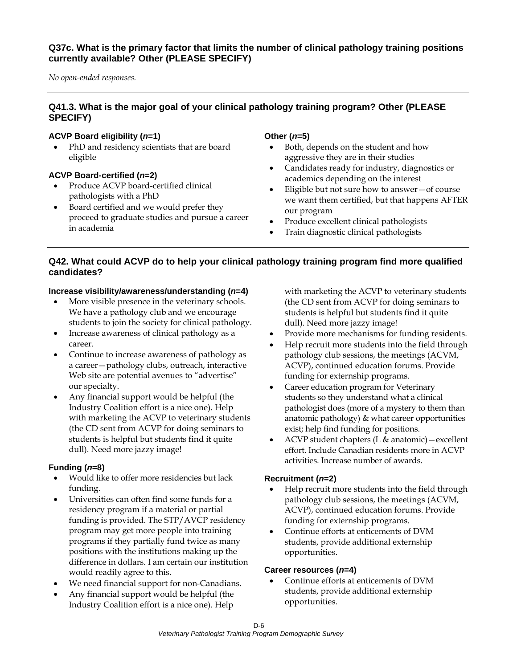#### **Q37c. What is the primary factor that limits the number of clinical pathology training positions currently available? Other (PLEASE SPECIFY)**

*No open-ended responses.* 

## **Q41.3. What is the major goal of your clinical pathology training program? Other (PLEASE SPECIFY)**

#### **ACVP Board eligibility (***n***=1)**

• PhD and residency scientists that are board eligible

#### **ACVP Board-certified (***n***=2)**

- Produce ACVP board-certified clinical pathologists with a PhD
- Board certified and we would prefer they proceed to graduate studies and pursue a career in academia

#### **Other (***n***=5)**

- Both, depends on the student and how aggressive they are in their studies
- Candidates ready for industry, diagnostics or academics depending on the interest
- Eligible but not sure how to answer—of course we want them certified, but that happens AFTER our program
- Produce excellent clinical pathologists
- Train diagnostic clinical pathologists

#### **Q42. What could ACVP do to help your clinical pathology training program find more qualified candidates?**

#### **Increase visibility/awareness/understanding (***n***=4)**

- More visible presence in the veterinary schools. We have a pathology club and we encourage students to join the society for clinical pathology.
- Increase awareness of clinical pathology as a career.
- Continue to increase awareness of pathology as a career—pathology clubs, outreach, interactive Web site are potential avenues to "advertise" our specialty.
- Any financial support would be helpful (the Industry Coalition effort is a nice one). Help with marketing the ACVP to veterinary students (the CD sent from ACVP for doing seminars to students is helpful but students find it quite dull). Need more jazzy image!

#### **Funding (***n***=8)**

- Would like to offer more residencies but lack funding.
- Universities can often find some funds for a residency program if a material or partial funding is provided. The STP/AVCP residency program may get more people into training programs if they partially fund twice as many positions with the institutions making up the difference in dollars. I am certain our institution would readily agree to this.
- We need financial support for non-Canadians.
- Any financial support would be helpful (the Industry Coalition effort is a nice one). Help

with marketing the ACVP to veterinary students (the CD sent from ACVP for doing seminars to students is helpful but students find it quite dull). Need more jazzy image!

- Provide more mechanisms for funding residents.
- Help recruit more students into the field through pathology club sessions, the meetings (ACVM, ACVP), continued education forums. Provide funding for externship programs.
- Career education program for Veterinary students so they understand what a clinical pathologist does (more of a mystery to them than anatomic pathology) & what career opportunities exist; help find funding for positions.
- ACVP student chapters  $(L \&$  anatomic) excellent effort. Include Canadian residents more in ACVP activities. Increase number of awards.

#### **Recruitment (***n***=2)**

- Help recruit more students into the field through pathology club sessions, the meetings (ACVM, ACVP), continued education forums. Provide funding for externship programs.
- Continue efforts at enticements of DVM students, provide additional externship opportunities.

#### **Career resources (***n***=4)**

• Continue efforts at enticements of DVM students, provide additional externship opportunities.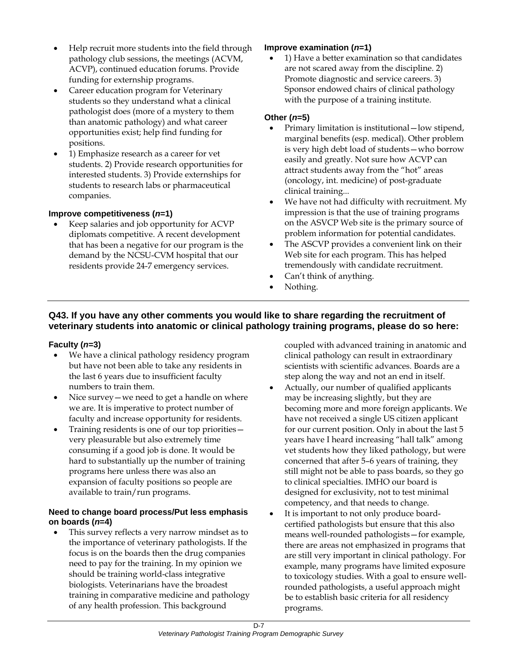- Help recruit more students into the field through pathology club sessions, the meetings (ACVM, ACVP), continued education forums. Provide funding for externship programs.
- Career education program for Veterinary students so they understand what a clinical pathologist does (more of a mystery to them than anatomic pathology) and what career opportunities exist; help find funding for positions.
- 1) Emphasize research as a career for vet students. 2) Provide research opportunities for interested students. 3) Provide externships for students to research labs or pharmaceutical companies.

#### **Improve competitiveness (***n***=1)**

• Keep salaries and job opportunity for ACVP diplomats competitive. A recent development that has been a negative for our program is the demand by the NCSU-CVM hospital that our residents provide 24-7 emergency services.

#### **Improve examination (***n***=1)**

• 1) Have a better examination so that candidates are not scared away from the discipline. 2) Promote diagnostic and service careers. 3) Sponsor endowed chairs of clinical pathology with the purpose of a training institute.

#### **Other (***n***=5)**

- Primary limitation is institutional—low stipend, marginal benefits (esp. medical). Other problem is very high debt load of students—who borrow easily and greatly. Not sure how ACVP can attract students away from the "hot" areas (oncology, int. medicine) of post-graduate clinical training...
- We have not had difficulty with recruitment. My impression is that the use of training programs on the ASVCP Web site is the primary source of problem information for potential candidates.
- The ASCVP provides a convenient link on their Web site for each program. This has helped tremendously with candidate recruitment.
- Can't think of anything.
- Nothing.

#### **Q43. If you have any other comments you would like to share regarding the recruitment of veterinary students into anatomic or clinical pathology training programs, please do so here:**

#### **Faculty (***n***=3)**

- We have a clinical pathology residency program but have not been able to take any residents in the last 6 years due to insufficient faculty numbers to train them.
- Nice survey we need to get a handle on where we are. It is imperative to protect number of faculty and increase opportunity for residents.
- Training residents is one of our top priorities very pleasurable but also extremely time consuming if a good job is done. It would be hard to substantially up the number of training programs here unless there was also an expansion of faculty positions so people are available to train/run programs.

#### **Need to change board process/Put less emphasis on boards (***n***=4)**

This survey reflects a very narrow mindset as to the importance of veterinary pathologists. If the focus is on the boards then the drug companies need to pay for the training. In my opinion we should be training world-class integrative biologists. Veterinarians have the broadest training in comparative medicine and pathology of any health profession. This background

coupled with advanced training in anatomic and clinical pathology can result in extraordinary scientists with scientific advances. Boards are a step along the way and not an end in itself.

- Actually, our number of qualified applicants may be increasing slightly, but they are becoming more and more foreign applicants. We have not received a single US citizen applicant for our current position. Only in about the last 5 years have I heard increasing "hall talk" among vet students how they liked pathology, but were concerned that after 5–6 years of training, they still might not be able to pass boards, so they go to clinical specialties. IMHO our board is designed for exclusivity, not to test minimal competency, and that needs to change.
- It is important to not only produce boardcertified pathologists but ensure that this also means well-rounded pathologists—for example, there are areas not emphasized in programs that are still very important in clinical pathology. For example, many programs have limited exposure to toxicology studies. With a goal to ensure wellrounded pathologists, a useful approach might be to establish basic criteria for all residency programs.